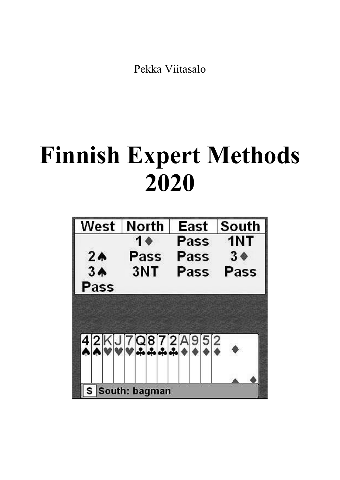Pekka Viitasalo

# **Finnish Expert Methods 2020**

| West            | <b>North</b>   | East | South          |  |
|-----------------|----------------|------|----------------|--|
|                 | 1 <sub>0</sub> | Pass | 1NT            |  |
| 2 <sub>0</sub>  | Pass           | Pass | 3 <sub>0</sub> |  |
| 3A              | 3NT            | Pass | Pass           |  |
| Pass            |                |      |                |  |
|                 |                |      |                |  |
|                 |                |      |                |  |
|                 | 42KJ7Q872A952  |      |                |  |
|                 |                |      |                |  |
|                 |                |      |                |  |
|                 |                |      |                |  |
| S South: bagman |                |      |                |  |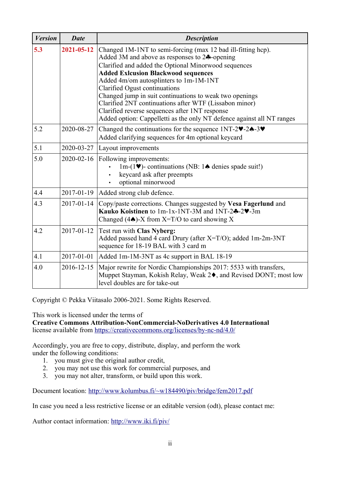| <b>Version</b> | <b>Date</b> | <b>Description</b>                                                                                                                                                                                                                                                                                                                                                                                                                                                                                                                                         |
|----------------|-------------|------------------------------------------------------------------------------------------------------------------------------------------------------------------------------------------------------------------------------------------------------------------------------------------------------------------------------------------------------------------------------------------------------------------------------------------------------------------------------------------------------------------------------------------------------------|
| 5.3            | 2021-05-12  | Changed 1M-1NT to semi-forcing (max 12 bad ill-fitting hcp).<br>Added 3M and above as responses to $2\clubsuit$ -opening<br>Clarified and added the Optional Minorwood sequences<br><b>Added Exlcusion Blackwood sequences</b><br>Added 4m/om autosplinters to 1m-1M-1NT<br>Clarified Ogust continuations<br>Changed jump in suit continuations to weak two openings<br>Clarified 2NT continuations after WTF (Lissabon minor)<br>Clarified reverse sequences after 1NT response<br>Added option: Cappelletti as the only NT defence against all NT ranges |
| 5.2            | 2020-08-27  | Changed the continuations for the sequence $1NT-2\nightharpoonup-2\nightharpoonup-3\nightharpoonup$<br>Added clarifying sequences for 4m optional keycard                                                                                                                                                                                                                                                                                                                                                                                                  |
| 5.1            | 2020-03-27  | Layout improvements                                                                                                                                                                                                                                                                                                                                                                                                                                                                                                                                        |
| 5.0            | 2020-02-16  | Following improvements:<br>$1m-(1\blacktriangleright)$ - continuations (NB: $1\blacktriangle$ denies spade suit!)<br>keycard ask after preempts<br>optional minorwood                                                                                                                                                                                                                                                                                                                                                                                      |
| 4.4            | 2017-01-19  | Added strong club defence.                                                                                                                                                                                                                                                                                                                                                                                                                                                                                                                                 |
| 4.3            | 2017-01-14  | Copy/paste corrections. Changes suggested by Vesa Fagerlund and<br>Kauko Koistinen to 1m-1x-1NT-3M and 1NT-24-2V-3m<br>Changed (4 $\spadesuit$ )-X from X=T/O to card showing X                                                                                                                                                                                                                                                                                                                                                                            |
| 4.2            | 2017-01-12  | <b>Test run with Clas Nyberg:</b><br>Added passed hand 4 card Drury (after $X=T/O$ ); added 1m-2m-3NT<br>sequence for 18-19 BAL with 3 card m                                                                                                                                                                                                                                                                                                                                                                                                              |
| 4.1            | 2017-01-01  | Added 1m-1M-3NT as 4c support in BAL 18-19                                                                                                                                                                                                                                                                                                                                                                                                                                                                                                                 |
| 4.0            | 2016-12-15  | Major rewrite for Nordic Championships 2017: 5533 with transfers,<br>Muppet Stayman, Kokish Relay, Weak 2♦, and Revised DONT; most low<br>level doubles are for take-out                                                                                                                                                                                                                                                                                                                                                                                   |

Copyright © Pekka Viitasalo 2006-2021. Some Rights Reserved.

This work is licensed under the terms of

#### **Creative Commons Attribution-NonCommercial-NoDerivatives 4.0 International**

license available from https://creativecommons.org/licenses/by-nc-nd/4.0/

Accordingly, you are free to copy, distribute, display, and perform the work under the following conditions:

- 1. you must give the original author credit,
- 2. you may not use this work for commercial purposes, and
- 3. you may not alter, transform, or build upon this work.

Document location: http://www.kolumbus.fi/~w184490/piv/bridge/fem2017.pdf

In case you need a less restrictive license or an editable version (odt), please contact me:

Author contact information:<http://www.iki.fi/piv/>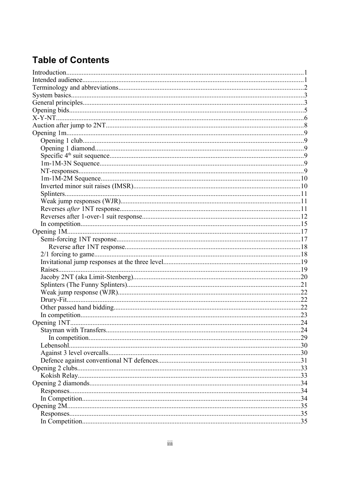### **Table of Contents**

| .24 |
|-----|
|     |
|     |
|     |
|     |
|     |
|     |
|     |
|     |
|     |
|     |
|     |
|     |
|     |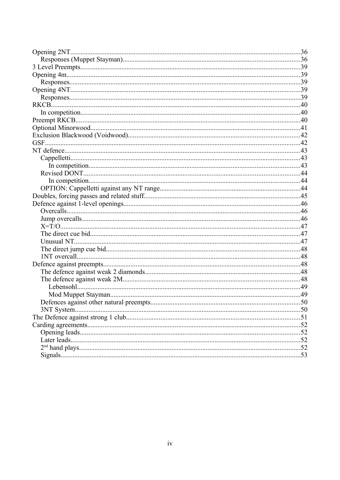| Defences against other natural preempts. | .50 |
|------------------------------------------|-----|
|                                          |     |
|                                          |     |
|                                          |     |
|                                          |     |
|                                          |     |
|                                          |     |
|                                          |     |
|                                          |     |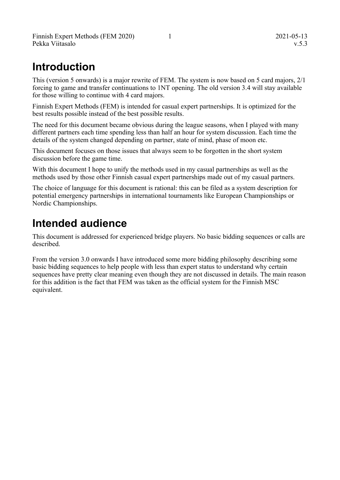# **Introduction**

This (version 5 onwards) is a major rewrite of FEM. The system is now based on 5 card majors, 2/1 forcing to game and transfer continuations to 1NT opening. The old version 3.4 will stay available for those willing to continue with 4 card majors.

Finnish Expert Methods (FEM) is intended for casual expert partnerships. It is optimized for the best results possible instead of the best possible results.

The need for this document became obvious during the league seasons, when I played with many different partners each time spending less than half an hour for system discussion. Each time the details of the system changed depending on partner, state of mind, phase of moon etc.

This document focuses on those issues that always seem to be forgotten in the short system discussion before the game time.

With this document I hope to unify the methods used in my casual partnerships as well as the methods used by those other Finnish casual expert partnerships made out of my casual partners.

The choice of language for this document is rational: this can be filed as a system description for potential emergency partnerships in international tournaments like European Championships or Nordic Championships.

# **Intended audience**

This document is addressed for experienced bridge players. No basic bidding sequences or calls are described.

From the version 3.0 onwards I have introduced some more bidding philosophy describing some basic bidding sequences to help people with less than expert status to understand why certain sequences have pretty clear meaning even though they are not discussed in details. The main reason for this addition is the fact that FEM was taken as the official system for the Finnish MSC equivalent.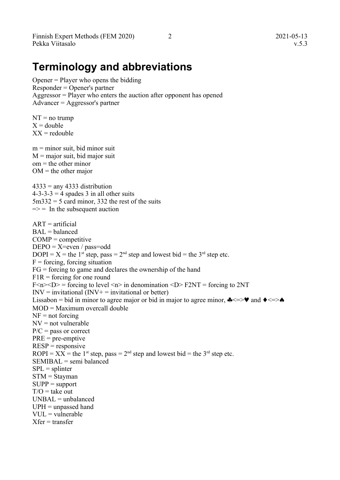Finnish Expert Methods (FEM 2020) 2 2021-05-13 Pekka Viitasalo v.5.3

Opener = Player who opens the bidding Responder = Opener's partner Aggressor = Player who enters the auction after opponent has opened Advancer = Aggressor's partner

 $NT = no$  trump  $X =$ double  $XX =$  redouble

 $m =$  minor suit, bid minor suit  $M$  = major suit, bid major suit  $om =$  the other minor  $OM =$  the other major

 $4333$  = any 4333 distribution  $4-3-3-3=4$  spades 3 in all other suits  $5m332 = 5$  card minor, 332 the rest of the suits  $\Rightarrow$  = In the subsequent auction

 $ART = artificial$  $BAL = balanced$  $COMP =$  competitive  $DEPO = X=even / pass=odd$  $DOPI = X =$  the 1<sup>st</sup> step, pass = 2<sup>nd</sup> step and lowest bid = the 3<sup>rd</sup> step etc.  $F =$  forcing, forcing situation FG = forcing to game and declares the ownership of the hand  $F1R =$  forcing for one round  $F\le n \le D$  = forcing to level  $\le n$  in denomination  $\le D$  F2NT = forcing to 2NT  $INV = individual (INV + = individual or better)$ Lissabon = bid in minor to agree major or bid in major to agree minor,  $\clubsuit \leq \searrow \bullet$  and  $\bullet \leq \searrow \bullet$ MOD = Maximum overcall double  $NF = not$  forcing  $NV = not$  vulnerable  $P/C$  = pass or correct  $PRE = pre-emptive$  $RESP =$  responsive ROPI =  $XX$  = the 1<sup>st</sup> step, pass = 2<sup>nd</sup> step and lowest bid = the 3<sup>rd</sup> step etc.  $SEMIBAL = semi\ balanced$  $SPL = splinter$ STM = Stayman  $SUPP = support$  $T/O =$  take out  $UNBAL = unbalanced$  $UPH =$ unpassed hand VUL = vulnerable  $X$ fer = transfer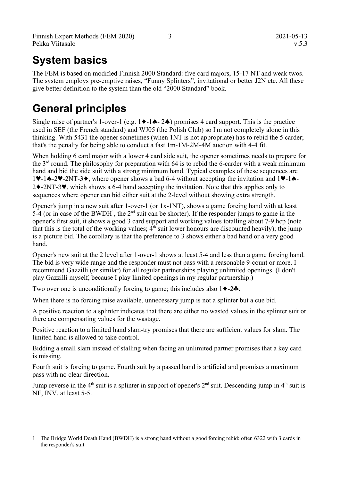# **System basics**

The FEM is based on modified Finnish 2000 Standard: five card majors, 15-17 NT and weak twos. The system employs pre-emptive raises, "Funny Splinters", invitational or better J2N etc. All these give better definition to the system than the old "2000 Standard" book.

# **General principles**

Single raise of partner's 1-over-1 (e.g.  $1 \blacklozenge -1 \blacktriangle - 2 \blacktriangle$ ) promises 4 card support. This is the practice used in SEF (the French standard) and WJ05 (the Polish Club) so I'm not completely alone in this thinking. With 5431 the opener sometimes (when 1NT is not appropriate) has to rebid the 5 carder; that's the penalty for being able to conduct a fast 1m-1M-2M-4M auction with 4-4 fit.

When holding 6 card major with a lower 4 card side suit, the opener sometimes needs to prepare for the 3rd round. The philosophy for preparation with 64 is to rebid the 6-carder with a weak minimum hand and bid the side suit with a strong minimum hand. Typical examples of these sequences are  $1\blacktriangleright$ -1 $\blacktriangle$ -2 $\blacktriangleright$ -2NT-3 $\blacktriangleright$ , where opener shows a bad 6-4 without accepting the invitation and 1 $\blacktriangleright$ -1 $\blacktriangle$ - $2\blacklozenge$ -2NT-3 $\blacktriangledown$ , which shows a 6-4 hand accepting the invitation. Note that this applies only to sequences where opener can bid either suit at the 2-level without showing extra strength.

Opener's jump in a new suit after 1-over-1 (or 1x-1NT), shows a game forcing hand with at least 5-4 (or in case of the BWDH<sup>[1](#page-6-0)</sup>, the  $2<sup>nd</sup>$  suit can be shorter). If the responder jumps to game in the opener's first suit, it shows a good 3 card support and working values totalling about 7-9 hcp (note that this is the total of the working values;  $4<sup>th</sup>$  suit lower honours are discounted heavily); the jump is a picture bid. The corollary is that the preference to 3 shows either a bad hand or a very good hand.

Opener's new suit at the 2 level after 1-over-1 shows at least 5-4 and less than a game forcing hand. The bid is very wide range and the responder must not pass with a reasonable 9-count or more. I recommend Gazzilli (or similar) for all regular partnerships playing unlimited openings. (I don't play Gazzilli myself, because I play limited openings in my regular partnership.)

Two over one is unconditionally forcing to game; this includes also  $1 \rightarrow -2 \rightarrow$ .

When there is no forcing raise available, unnecessary jump is not a splinter but a cue bid.

A positive reaction to a splinter indicates that there are either no wasted values in the splinter suit or there are compensating values for the wastage.

Positive reaction to a limited hand slam-try promises that there are sufficient values for slam. The limited hand is allowed to take control.

Bidding a small slam instead of stalling when facing an unlimited partner promises that a key card is missing.

Fourth suit is forcing to game. Fourth suit by a passed hand is artificial and promises a maximum pass with no clear direction.

Jump reverse in the 4<sup>th</sup> suit is a splinter in support of opener's  $2<sup>nd</sup>$  suit. Descending jump in  $4<sup>th</sup>$  suit is NF, INV, at least 5-5.

<span id="page-6-0"></span><sup>1</sup> The Bridge World Death Hand (BWDH) is a strong hand without a good forcing rebid; often 6322 with 3 cards in the responder's suit.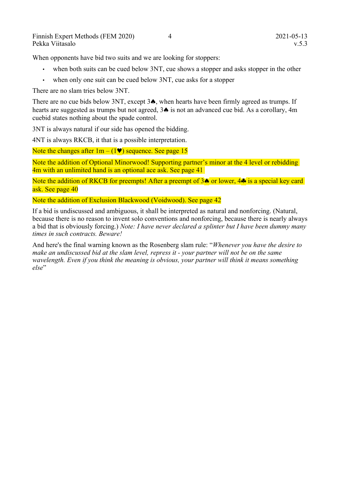When opponents have bid two suits and we are looking for stoppers:

- when both suits can be cued below 3NT, cue shows a stopper and asks stopper in the other
- when only one suit can be cued below 3NT, cue asks for a stopper

There are no slam tries below 3NT.

There are no cue bids below 3NT, except  $3\spadesuit$ , when hearts have been firmly agreed as trumps. If hearts are suggested as trumps but not agreed,  $3\spadesuit$  is not an advanced cue bid. As a corollary, 4m cuebid states nothing about the spade control.

3NT is always natural if our side has opened the bidding.

4NT is always RKCB, it that is a possible interpretation.

Note the changes after  $1m - (1\blacktriangledown)$  sequence. See page [15](#page-18-0)

Note the addition of Optional Minorwood! Supporting partner's minor at the 4 level or rebidding 4m with an unlimited hand is an optional ace ask. See page [41](#page-44-0)

Note the addition of RKCB for preempts! After a preempt of  $3\spadesuit$  or lower,  $4\clubsuit$  is a special key card ask. See page [40](#page-43-0)

Note the addition of Exclusion Blackwood (Voidwood). See page [42](#page-45-0)

If a bid is undiscussed and ambiguous, it shall be interpreted as natural and nonforcing. (Natural, because there is no reason to invent solo conventions and nonforcing, because there is nearly always a bid that is obviously forcing.) *Note: I have never declared a splinter but I have been dummy many times in such contracts. Beware!*

And here's the final warning known as the Rosenberg slam rule: "*Whenever you have the desire to make an undiscussed bid at the slam level, repress it - your partner will not be on the same wavelength. Even if you think the meaning is obvious, your partner will think it means something*   $\rho$ *lse*"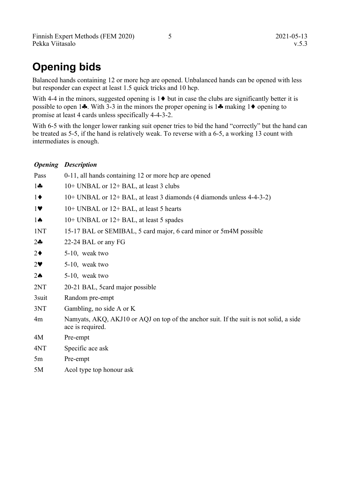# **Opening bids**

Balanced hands containing 12 or more hcp are opened. Unbalanced hands can be opened with less but responder can expect at least 1.5 quick tricks and 10 hcp.

With 4-4 in the minors, suggested opening is  $1 \blacklozenge$  but in case the clubs are significantly better it is possible to open 1... With 3-3 in the minors the proper opening is 1... making 1... promise at least 4 cards unless specifically 4-4-3-2.

With 6-5 with the longer lower ranking suit opener tries to bid the hand "correctly" but the hand can be treated as 5-5, if the hand is relatively weak. To reverse with a 6-5, a working 13 count with intermediates is enough.

#### *Opening Description*

| Pass                  | 0-11, all hands containing 12 or more hcp are opened                                                       |
|-----------------------|------------------------------------------------------------------------------------------------------------|
| $1 -$                 | 10+ UNBAL or 12+ BAL, at least 3 clubs                                                                     |
| $1\blacklozenge$      | 10+ UNBAL or 12+ BAL, at least 3 diamonds (4 diamonds unless 4-4-3-2)                                      |
| 17                    | 10+ UNBAL or 12+ BAL, at least 5 hearts                                                                    |
| $1 \spadesuit$        | 10+ UNBAL or 12+ BAL, at least 5 spades                                                                    |
| 1NT                   | 15-17 BAL or SEMIBAL, 5 card major, 6 card minor or 5m4M possible                                          |
| $2 -$                 | 22-24 BAL or any FG                                                                                        |
| $2\blacklozenge$      | 5-10, weak two                                                                                             |
| $2\blacktriangledown$ | 5-10, weak two                                                                                             |
| $2\spadesuit$         | 5-10, weak two                                                                                             |
| 2NT                   | 20-21 BAL, 5card major possible                                                                            |
| 3suit                 | Random pre-empt                                                                                            |
| 3NT                   | Gambling, no side A or K                                                                                   |
| 4m                    | Namyats, AKQ, AKJ10 or AQJ on top of the anchor suit. If the suit is not solid, a side<br>ace is required. |
| 4M                    | Pre-empt                                                                                                   |
| 4NT                   | Specific ace ask                                                                                           |
| 5m                    | Pre-empt                                                                                                   |
| 5M                    | Acol type top honour ask                                                                                   |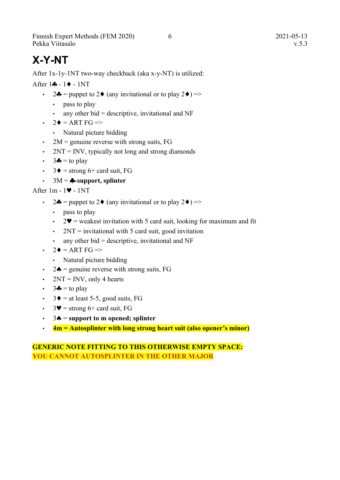Finnish Expert Methods (FEM 2020) 6 2021-05-13 Pekka Viitasalo v.5.3

# **X-Y-NT**

After 1x-1y-1NT two-way checkback (aka x-y-NT) is utilized:

After  $1 - 1$  - 1NT

- 2 $\clubsuit$  = puppet to 2 $\spadesuit$  (any invitational or to play 2 $\spadesuit$ ) =>
	- pass to play
	- $\cdot$  any other bid = descriptive, invitational and NF
- $\cdot$  2  $\bullet$  = ART FG =>
	- Natural picture bidding
- 2M = genuine reverse with strong suits,  $FG$
- $\cdot$  2NT = INV, typically not long and strong diamonds
- $\cdot$  3 $\bullet$  = to play
- $3\blacklozenge =$  strong 6+ card suit, FG
- $\cdot$  3M =  $\clubsuit$ -support, splinter

After  $1m - 1$  -  $1NT$ 

- 2 $\bullet$  = puppet to 2 $\bullet$  (any invitational or to play 2 $\bullet$ ) =>
	- pass to play
	- $2\Psi$  = weakest invitation with 5 card suit, looking for maximum and fit
	- $2NT =$  invitational with 5 card suit, good invitation
	- $\cdot$  any other bid = descriptive, invitational and NF
- $\cdot$  2  $\bullet$  = ART FG =>
	- Natural picture bidding
- 2 $\triangle$  = genuine reverse with strong suits, FG
- $2NT = INV$ , only 4 hearts
- $\cdot$  3 $\bullet$  = to play
- $3 \blacklozenge =$  at least 5-5, good suits, FG
- $3\blacktriangledown$  = strong 6+ card suit, FG
- $\cdot$  3 $\bullet$  = support to m opened; splinter
- **4m = Autosplinter with long strong heart suit (also opener's minor)**

#### **GENERIC NOTE FITTING TO THIS OTHERWISE EMPTY SPACE: YOU CANNOT AUTOSPLINTER IN THE OTHER MAJOR**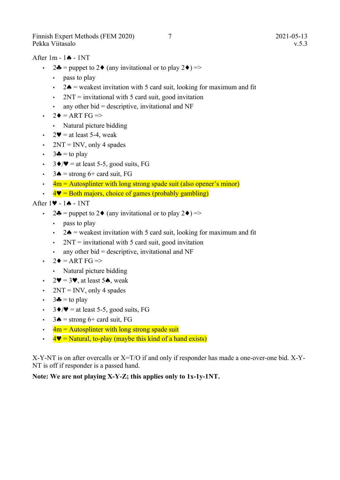Finnish Expert Methods (FEM 2020) 7 2021-05-13 Pekka Viitasalo v.5.3

After  $1m - 1$   $\triangle$  - 1NT

- 2 $\bullet$  = puppet to 2 $\bullet$  (any invitational or to play 2 $\bullet$ ) =>
	- pass to play
	- 2 $\triangle$  = weakest invitation with 5 card suit, looking for maximum and fit
	- $2NT =$  invitational with 5 card suit, good invitation
	- $\cdot$  any other bid = descriptive, invitational and NF
- $\cdot$  2  $\bullet$  = ART FG =>
	- Natural picture bidding
- $2\Psi$  = at least 5-4, weak
- $2NT = INV$ , only 4 spades
- $\cdot$  3 $\bullet$  = to play
- $3\blacklozenge/\blacktriangledown$  = at least 5-5, good suits, FG
- $3\spadesuit$  = strong 6+ card suit, FG
- $\cdot$  4m = Autosplinter with long strong spade suit (also opener's minor)
- $\cdot$  4  $\blacktriangledown$  = Both majors, choice of games (probably gambling)

#### After  $1 \blacktriangledown - 1 \blacktriangle - 1NT$

- 24 = puppet to 2 $\bullet$  (any invitational or to play 2 $\bullet$ ) =>
	- pass to play
	- 2 $\triangle$  = weakest invitation with 5 card suit, looking for maximum and fit
	- $2NT =$  invitational with 5 card suit, good invitation
	- any other bid  $=$  descriptive, invitational and NF
- $\cdot$  2  $\bullet$  = ART FG =>
	- Natural picture bidding
- $2\Psi = 3\Psi$ , at least 5 $\spadesuit$ , weak
- $2NT = INV$ , only 4 spades
- $\cdot$  3 $\bullet$  = to play
- $3\blacklozenge/\blacktriangledown$  = at least 5-5, good suits, FG
- $3 \triangle$  = strong 6+ card suit, FG
- $\cdot$  4m = Autosplinter with long strong spade suit
- $4\Psi$  = Natural, to-play (maybe this kind of a hand exists)

X-Y-NT is on after overcalls or X=T/O if and only if responder has made a one-over-one bid. X-Y-NT is off if responder is a passed hand.

#### **Note: We are not playing X-Y-Z; this applies only to 1x-1y-1NT.**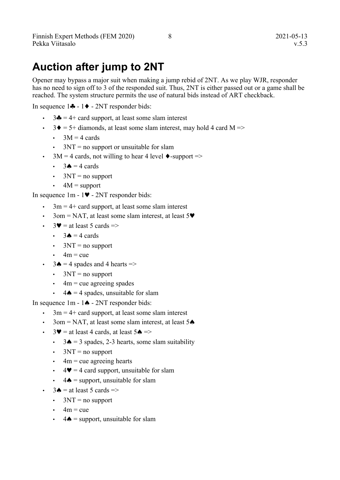# **Auction after jump to 2NT**

Opener may bypass a major suit when making a jump rebid of 2NT. As we play WJR, responder has no need to sign off to 3 of the responded suit. Thus, 2NT is either passed out or a game shall be reached. The system structure permits the use of natural bids instead of ART checkback.

In sequence  $1\clubsuit - 1\spadesuit - 2NT$  responder bids:

- $3\clubsuit = 4 + \text{card support},$  at least some slam interest
- $3\blacklozenge = 5 + \text{diamonds},$  at least some slam interest, may hold 4 card M =>
	- $\cdot$  3M = 4 cards
	- $3NT = no$  support or unsuitable for slam
- 3M = 4 cards, not willing to hear 4 level  $\bullet$ -support =>
	- $3\triangle = 4$  cards
	- $\cdot$  3NT = no support
	- $4M =$ support

In sequence  $1m - 1$  -  $2NT$  responder bids:

- $\cdot$  3m = 4+ card support, at least some slam interest
- 3om = NAT, at least some slam interest, at least  $5\blacktriangledown$
- $3\blacktriangleright$  = at least 5 cards =>
	- $\cdot$  3 $\bullet$  = 4 cards
	- $\cdot$  3NT = no support
	- $\cdot$  4m = cue
- $3\spadesuit = 4$  spades and 4 hearts  $\Rightarrow$ 
	- $\cdot$  3NT = no support
	- $\cdot$  4m = cue agreeing spades
	- $4\spadesuit = 4$  spades, unsuitable for slam

In sequence  $1m - 1 \spadesuit - 2NT$  responder bids:

- $3m = 4 +$  card support, at least some slam interest
- 3om = NAT, at least some slam interest, at least  $5\spadesuit$
- $3\blacktriangledown$  = at least 4 cards, at least 5 $\blacktriangle$  =>
	- $3\spadesuit = 3$  spades, 2-3 hearts, some slam suitability
	- $3NT = no$  support
	- $4m$  = cue agreeing hearts
	- $4\blacktriangledown = 4$  card support, unsuitable for slam
	- $4\spadesuit$  = support, unsuitable for slam
- $3\spadesuit$  = at least 5 cards =>
	- $\cdot$  3NT = no support
	- $4m = cue$
	- $4\spadesuit$  = support, unsuitable for slam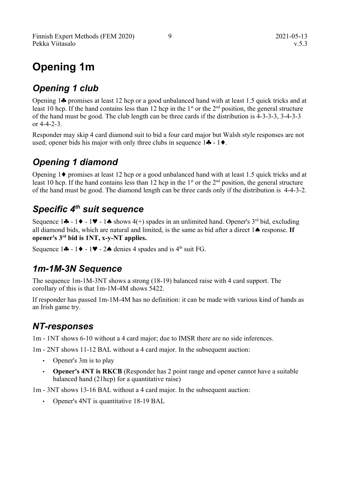# **Opening 1m**

### *Opening 1 club*

Opening  $1\clubsuit$  promises at least 12 hcp or a good unbalanced hand with at least 1.5 quick tricks and at least 10 hcp. If the hand contains less than 12 hcp in the  $1<sup>st</sup>$  or the  $2<sup>nd</sup>$  position, the general structure of the hand must be good. The club length can be three cards if the distribution is 4-3-3-3, 3-4-3-3 or  $4 - 4 - 2 - 3$ .

Responder may skip 4 card diamond suit to bid a four card major but Walsh style responses are not used; opener bids his major with only three clubs in sequence  $1 \cdot - 1 \cdot - 1$ .

### *Opening 1 diamond*

Opening  $1\blacklozenge$  promises at least 12 hcp or a good unbalanced hand with at least 1.5 quick tricks and at least 10 hcp. If the hand contains less than 12 hcp in the  $1<sup>st</sup>$  or the  $2<sup>nd</sup>$  position, the general structure of the hand must be good. The diamond length can be three cards only if the distribution is 4-4-3-2.

### *Specific 4th suit sequence*

Sequence  $1\clubsuit - 1\blacktriangleright - 1\blacktriangleright - 1\spadesuit$  shows  $4(+)$  spades in an unlimited hand. Opener's 3<sup>rd</sup> bid, excluding all diamond bids, which are natural and limited, is the same as bid after a direct  $1 \spadesuit$  response. If **opener's 3rd bid is 1NT, x-y-NT applies.**

Sequence  $1 \cdot - 1 \cdot - 1 \cdot - 2 \cdot \text{denies 4 spades and is } 4^{\text{th}} \text{ suit FG.}$ 

### *1m-1M-3N Sequence*

The sequence 1m-1M-3NT shows a strong (18-19) balanced raise with 4 card support. The corollary of this is that 1m-1M-4M shows 5422.

If responder has passed 1m-1M-4M has no definition: it can be made with various kind of hands as an Irish game try.

### *NT-responses*

1m - 1NT shows 6-10 without a 4 card major; due to IMSR there are no side inferences.

1m - 2NT shows 11-12 BAL without a 4 card major. In the subsequent auction:

- Opener's 3m is to play
- **Opener's 4NT is RKCB** (Responder has 2 point range and opener cannot have a suitable balanced hand (21hcp) for a quantitative raise)

1m - 3NT shows 13-16 BAL without a 4 card major. In the subsequent auction:

• Opener's 4NT is quantitative 18-19 BAL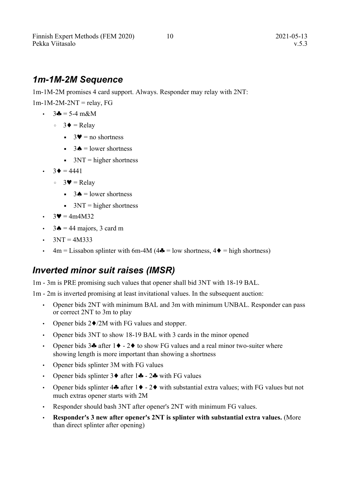#### *1m-1M-2M Sequence*

1m-1M-2M promises 4 card support. Always. Responder may relay with 2NT:

 $1m-1M-2M-2NT =$ relay, FG

- $3\clubsuit = 5-4 \text{ m}\&\text{M}$ 
	- 3 = Relay
		- $\bullet$  3 $\bullet$  = no shortness
		- $\bullet$  3 $\bullet$  = lower shortness
		- $\blacksquare$  3NT = higher shortness
- $3 \blacklozenge = 4441$ 
	- $\circ$  3 $\blacktriangleright$  = Relay
		- $\bullet$  3 $\bullet$  = lower shortness
		- $\blacksquare$  3NT = higher shortness
- $3\blacktriangledown = 4m4M32$
- $3 \triangle = 44$  majors, 3 card m
- $3NT = 4M333$
- $4m =$  Lissabon splinter with 6m-4M (4 $\clubsuit$  = low shortness, 4 $\spadesuit$  = high shortness)

#### *Inverted minor suit raises (IMSR)*

1m - 3m is PRE promising such values that opener shall bid 3NT with 18-19 BAL.

1m - 2m is inverted promising at least invitational values. In the subsequent auction:

- Opener bids 2NT with minimum BAL and 3m with minimum UNBAL. Responder can pass or correct 2NT to 3m to play
- Opener bids  $2\blacklozenge/2M$  with FG values and stopper.
- Opener bids 3NT to show 18-19 BAL with 3 cards in the minor opened
- Opener bids  $3\bullet$  after  $1\bullet 2\bullet$  to show FG values and a real minor two-suiter where showing length is more important than showing a shortness
- Opener bids splinter 3M with FG values
- Opener bids splinter  $3 \bullet$  after  $1 \bullet 2 \bullet$  with FG values
- Opener bids splinter  $4\clubsuit$  after  $1\blacklozenge 2\blacklozenge$  with substantial extra values; with FG values but not much extras opener starts with 2M
- Responder should bash 3NT after opener's 2NT with minimum FG values.
- **Responder's 3 new after opener's 2NT is splinter with substantial extra values.** (More than direct splinter after opening)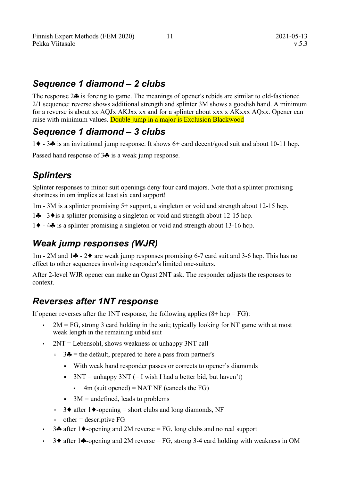#### *Sequence 1 diamond – 2 clubs*

The response  $2\clubsuit$  is forcing to game. The meanings of opener's rebids are similar to old-fashioned 2/1 sequence: reverse shows additional strength and splinter 3M shows a goodish hand. A minimum for a reverse is about xx AQJx AKJxx xx and for a splinter about xxx x AKxxx AQxx. Opener can raise with minimum values. Double jump in a major is Exclusion Blackwood

#### *Sequence 1 diamond – 3 clubs*

1  $\rightarrow$  - 3 $\clubsuit$  is an invitational jump response. It shows 6+ card decent/good suit and about 10-11 hcp.

Passed hand response of  $3\bullet$  is a weak jump response.

#### *Splinters*

Splinter responses to minor suit openings deny four card majors. Note that a splinter promising shortness in om implies at least six card support!

1m - 3M is a splinter promising 5+ support, a singleton or void and strength about 12-15 hcp.

- 14 3 $\bullet$  is a splinter promising a singleton or void and strength about 12-15 hcp.
- 1 $\blacklozenge$  4 $\clubsuit$  is a splinter promising a singleton or void and strength about 13-16 hcp.

#### *Weak jump responses (WJR)*

 $1m - 2M$  and  $1\clubsuit - 2\spadesuit$  are weak jump responses promising 6-7 card suit and 3-6 hcp. This has no effect to other sequences involving responder's limited one-suiters.

After 2-level WJR opener can make an Ogust 2NT ask. The responder adjusts the responses to context.

#### *Reverses after 1NT response*

If opener reverses after the 1NT response, the following applies  $(8 + hcp = FG)$ :

- $2M = FG$ , strong 3 card holding in the suit; typically looking for NT game with at most weak length in the remaining unbid suit
- $2NT = Lebensohl$ , shows weakness or unhappy 3NT call
	- $\circ$  3 $\bullet$  = the default, prepared to here a pass from partner's
		- With weak hand responder passes or corrects to opener's diamonds
		- $\blacksquare$  3NT = unhappy 3NT (= I wish I had a better bid, but haven't)
			- $\cdot$  4m (suit opened) = NAT NF (cancels the FG)
		- $\bullet$  3M = undefined, leads to problems
	- 3♦ after 1♦-opening = short clubs and long diamonds, NF
	- $\circ$  other = descriptive FG
- 34 after 1 $\blacklozenge$ -opening and 2M reverse = FG, long clubs and no real support
- 3 $\bullet$  after 1 $\bullet$ -opening and 2M reverse = FG, strong 3-4 card holding with weakness in OM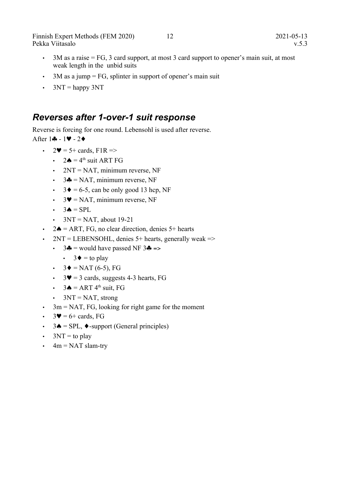Finnish Expert Methods (FEM 2020) 12 2021-05-13 Pekka Viitasalo v.5.3

- 3M as a raise = FG, 3 card support, at most 3 card support to opener's main suit, at most weak length in the unbid suits
- $\cdot$  3M as a jump = FG, splinter in support of opener's main suit
- $\cdot$  3NT = happy 3NT

#### *Reverses after 1-over-1 suit response*

Reverse is forcing for one round. Lebensohl is used after reverse.

After  $1 - 1$  - 2 +

- $2\Psi = 5 + \text{cards}, \text{F1R} = >$ 
	- $2\spadesuit = 4^{\text{th}}$  suit ART FG
	- $2NT = NAT$ , minimum reverse, NF
	- $3\clubsuit = \text{NAT}$ , minimum reverse, NF
	- $3\blacklozenge = 6-5$ , can be only good 13 hcp, NF
	- $3\Psi$  = NAT, minimum reverse, NF
	- $\cdot$  3  $\bullet$  = SPL
	- $3NT = NAT$ , about 19-21
- $2\spadesuit$  = ART, FG, no clear direction, denies 5+ hearts
- 2NT = LEBENSOHL, denies  $5+$  hearts, generally weak =>
	- $\cdot$  3 $\clubsuit$  = would have passed NF 3 $\clubsuit$  =>
		- $3\blacklozenge =$  to play
	- $3\blacklozenge = \text{NAT}(6-5)$ , FG
	- $3\blacktriangledown = 3$  cards, suggests 4-3 hearts, FG
	- $\cdot$  3 $\bullet$  = ART 4<sup>th</sup> suit, FG
	- $3NT = NAT$ , strong
- $\cdot$  3m = NAT, FG, looking for right game for the moment
- $3\Psi = 6 + \text{cards}, \text{FG}$
- $3\spadesuit$  = SPL,  $\blacklozenge$ -support (General principles)
- $\cdot$  3NT = to play
- $\cdot$  4m = NAT slam-try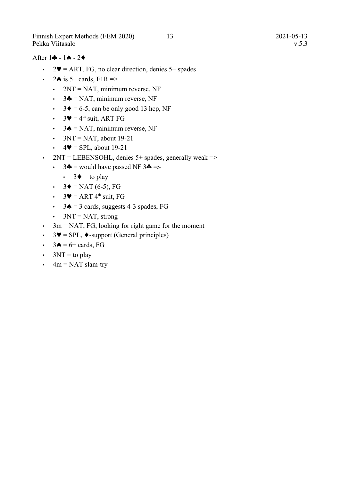Finnish Expert Methods (FEM 2020) 13 2021-05-13 Pekka Viitasalo v.5.3

#### After  $1 \cdot - 1 \cdot - 2 \cdot$

- 2 $\blacktriangleright$  = ART, FG, no clear direction, denies 5+ spades
- $\cdot$  24 is 5+ cards, F1R =>
	- $2NT = NAT$ , minimum reverse, NF
	- $3\clubsuit = \text{NAT}$ , minimum reverse, NF
	- $3\blacklozenge = 6-5$ , can be only good 13 hcp, NF
	- $3\blacktriangledown$  = 4<sup>th</sup> suit, ART FG
	- $3\spadesuit$  = NAT, minimum reverse, NF
	- $3NT = NAT$ , about 19-21
	- $\cdot$  4 $\blacktriangleright$  = SPL, about 19-21
- 2NT = LEBENSOHL, denies  $5+$  spades, generally weak =>
	- $\cdot$  3 $\clubsuit$  = would have passed NF 3 $\clubsuit$  =>
		- $3\blacklozenge =$  to play
	- $3\blacklozenge = \text{NAT}(6-5)$ , FG
	- $3\Psi = ART 4<sup>th</sup> suit. FG$
	- $3\spadesuit = 3$  cards, suggests 4-3 spades, FG
	- $3NT = NAT$ , strong
- $\cdot$  3m = NAT, FG, looking for right game for the moment
- $3\blacktriangledown =$  SPL,  $\blacklozenge$ -support (General principles)
- $3\spadesuit = 6 + \text{cards}, \text{FG}$
- $3NT =$  to play
- $\cdot$  4m = NAT slam-try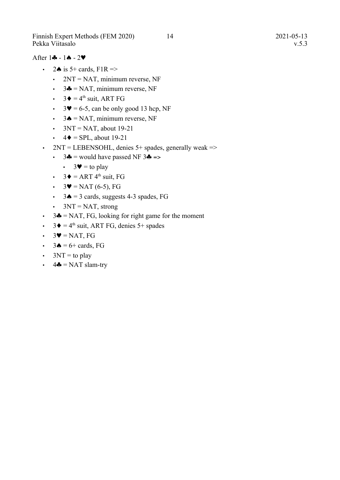Finnish Expert Methods (FEM 2020) 14 2021-05-13 Pekka Viitasalo v.5.3

#### After  $1 - 1 - 2$

- $\cdot$  24 is 5+ cards, F1R =>
	- $2NT = NAT$ , minimum reverse, NF
	- $3\clubsuit$  = NAT, minimum reverse, NF
	- $3\blacklozenge = 4^{\text{th}}$  suit, ART FG
	- $3\blacktriangledown = 6-5$ , can be only good 13 hcp, NF
	- $3 \triangle = \text{NAT}$ , minimum reverse, NF
	- $3NT = NAT$ , about 19-21
	- $\cdot$  4  $\bullet$  = SPL, about 19-21
- $2NT = LEBENSOHL$ , denies 5+ spades, generally weak =>
	- $\cdot$  3 $\clubsuit$  = would have passed NF 3 $\clubsuit$  =>
		- $3\blacktriangledown =$  to play
	- $3\blacklozenge = ART 4<sup>th</sup> suit, FG$
	- $3\Psi$  = NAT (6-5), FG
	- $3\spadesuit = 3$  cards, suggests 4-3 spades, FG
	- $3NT = NAT$ , strong
- $3\clubsuit$  = NAT, FG, looking for right game for the moment
- $3\blacklozenge = 4^{\text{th}}$  suit, ART FG, denies 5+ spades
- $\cdot$  3 $\blacktriangledown$  = NAT, FG
- $\cdot$  3 $\bullet$  = 6+ cards, FG
- $3NT =$  to play
- $\cdot$  4 $\clubsuit$  = NAT slam-try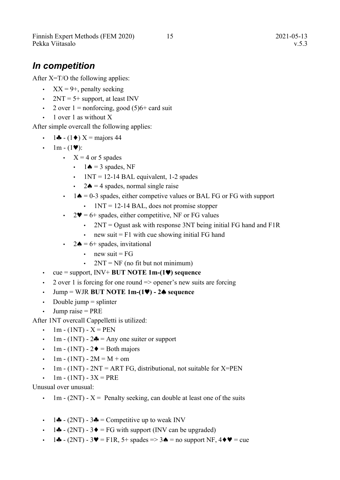Finnish Expert Methods (FEM 2020) 15 2021-05-13 Pekka Viitasalo v.5.3

#### <span id="page-18-0"></span>*In competition*

After X=T/O the following applies:

- $XX = 9+$ , penalty seeking
- $2NT = 5 +$  support, at least INV
- 2 over  $1 =$  nonforcing, good  $(5)6+$  card suit
- 1 over 1 as without X

After simple overcall the following applies:

- 1 $\clubsuit$  (1 $\spadesuit$ ) X = majors 44
- $\cdot$  1m (1 $\blacktriangledown$ ):
	- $X = 4$  or 5 spades
		- $\cdot$  1  $\spadesuit$  = 3 spades, NF
		- $1NT = 12-14$  BAL equivalent, 1-2 spades
		- 2 $\triangle$  = 4 spades, normal single raise
	- $\cdot$  1 $\bullet$  = 0-3 spades, either competive values or BAL FG or FG with support
		- $1NT = 12-14$  BAL, does not promise stopper
	- $2\Psi = 6$ + spades, either competitive, NF or FG values
		- $2NT = Ogust$  ask with response 3NT being initial FG hand and F1R
		- $\cdot$  new suit = F1 with cue showing initial FG hand
	- 2 $\triangle$  = 6+ spades, invitational
		- $\cdot$  new suit = FG
		- $2NT = NF$  (no fit but not minimum)
- $\cdot$  cue = support, INV+ **BUT NOTE 1m-(1** $\blacktriangledown$ **)** sequence
- 2 over 1 is forcing for one round  $\Rightarrow$  opener's new suits are forcing
- $\cdot$  Jump = WJR **BUT NOTE 1m-(1** $\blacktriangledown$ **)** 2 $\blacktriangle$  sequence
- Double jump  $=$  splinter
- $\cdot$  Jump raise = PRE

After 1NT overcall Cappelletti is utilized:

- 1m (1NT)  $X = PEN$
- 1m (1NT)  $2\clubsuit$  = Any one suiter or support
- 1m (1NT)  $2\blacklozenge$  = Both majors
- 1m (1NT) 2M = M + om
- 1m (1NT)  $2NT = ART FG$ , distributional, not suitable for X=PEN
- $1m (1NT) 3X = PRE$

Unusual over unusual:

- $1m (2NT) X =$  Penalty seeking, can double at least one of the suits
- 14 (2NT) 34 = Competitive up to weak INV
- $\cdot$  1. **4.**  $(2NT) 3$  = FG with support (INV can be upgraded)
- $\cdot$  14 (2NT) 3 $\blacktriangledown$  = F1R, 5+ spades => 3 $\blacktriangle$  = no support NF, 4 $\blacktriangledown$  = cue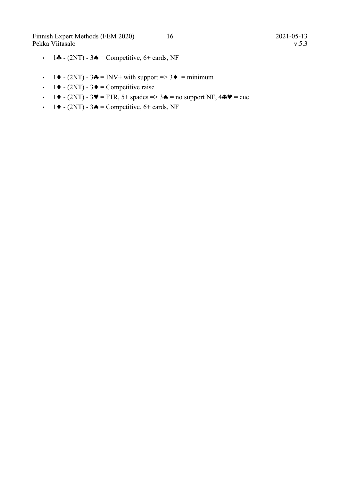Finnish Expert Methods (FEM 2020) 16 2021-05-13 Pekka Viitasalo v.5.3

- $\cdot$  14 (2NT) 34 = Competitive, 6+ cards, NF
- $1 \blacklozenge (2NT) 3 \blacklozenge = INV + with support \implies 3 \blacklozenge = minimum$
- 1  $\blacklozenge$  (2NT) 3  $\blacklozenge$  = Competitive raise
- $\cdot$  1  $\blacklozenge$  (2NT) 3 $\blacktriangledown$  = F1R, 5+ spades => 3 $\blacklozenge$  = no support NF, 4 $\blacklozenge$  = cue
- $\cdot$  1  $\bullet$  (2NT) 3  $\bullet$  = Competitive, 6+ cards, NF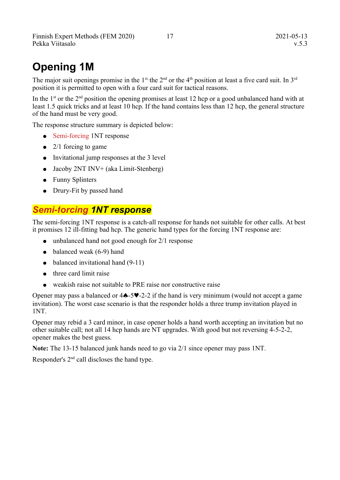# **Opening 1M**

The major suit openings promise in the  $1^{st}$ , the  $2^{nd}$  or the  $4^{th}$  position at least a five card suit. In  $3^{rd}$ position it is permitted to open with a four card suit for tactical reasons.

In the 1<sup>st</sup> or the 2<sup>nd</sup> position the opening promises at least 12 hcp or a good unbalanced hand with at least 1.5 quick tricks and at least 10 hcp. If the hand contains less than 12 hcp, the general structure of the hand must be very good.

The response structure summary is depicted below:

- Semi-forcing 1NT response
- $\bullet$  2/1 forcing to game
- Invitational jump responses at the 3 level
- Jacoby 2NT INV+ (aka Limit-Stenberg)
- Funny Splinters
- Drury-Fit by passed hand

#### *Semi-forcing 1NT response*

The semi-forcing 1NT response is a catch-all response for hands not suitable for other calls. At best it promises 12 ill-fitting bad hcp. The generic hand types for the forcing 1NT response are:

- unbalanced hand not good enough for 2/1 response
- $\bullet$  balanced weak (6-9) hand
- $\bullet$  balanced invitational hand  $(9-11)$
- three card limit raise
- weakish raise not suitable to PRE raise nor constructive raise

Opener may pass a balanced or  $4\spadesuit -5\clubsuit -2-2$  if the hand is very minimum (would not accept a game invitation). The worst case scenario is that the responder holds a three trump invitation played in 1NT.

Opener may rebid a 3 card minor, in case opener holds a hand worth accepting an invitation but no other suitable call; not all 14 hcp hands are NT upgrades. With good but not reversing 4-5-2-2, opener makes the best guess.

**Note:** The 13-15 balanced junk hands need to go via 2/1 since opener may pass 1NT.

Responder's  $2<sup>nd</sup>$  call discloses the hand type.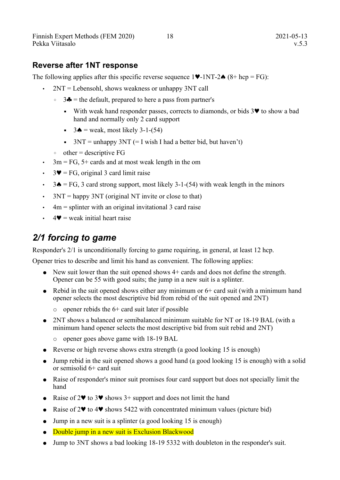#### **Reverse after 1NT response**

The following applies after this specific reverse sequence  $1\blacktriangledown$ -1NT-2 $\blacktriangle$  (8+ hcp = FG):

- $2NT = Lebensohl$ , shows weakness or unhappy  $3NT$  call
	- $\circ$  3 $\bullet$  = the default, prepared to here a pass from partner's
		- $\bullet$  With weak hand responder passes, corrects to diamonds, or bids  $3\blacktriangledown$  to show a bad hand and normally only 2 card support
		- $\bullet$  3 $\bullet$  = weak, most likely 3-1-(54)
		- $\blacksquare$  3NT = unhappy 3NT (= I wish I had a better bid, but haven't)
	- $\circ$  other = descriptive FG
- $\cdot$  3m = FG, 5+ cards and at most weak length in the om
- $3\Psi = FG$ , original 3 card limit raise
- $\cdot$  3 $\bullet$  = FG, 3 card strong support, most likely 3-1-(54) with weak length in the minors
- $3NT =$  happy 3NT (original NT invite or close to that)
- $\cdot$  4m = splinter with an original invitational 3 card raise
- $4\blacktriangledown$  = weak initial heart raise

#### *2/1 forcing to game*

Responder's 2/1 is unconditionally forcing to game requiring, in general, at least 12 hcp.

Opener tries to describe and limit his hand as convenient. The following applies:

- New suit lower than the suit opened shows 4+ cards and does not define the strength. Opener can be 55 with good suits; the jump in a new suit is a splinter.
- Rebid in the suit opened shows either any minimum or  $6+$  card suit (with a minimum hand opener selects the most descriptive bid from rebid of the suit opened and 2NT)
	- $\circ$  opener rebids the 6+ card suit later if possible
- 2NT shows a balanced or semibalanced minimum suitable for NT or 18-19 BAL (with a minimum hand opener selects the most descriptive bid from suit rebid and 2NT)
	- opener goes above game with 18-19 BAL
- Reverse or high reverse shows extra strength (a good looking 15 is enough)
- Jump rebid in the suit opened shows a good hand (a good looking 15 is enough) with a solid or semisolid 6+ card suit
- Raise of responder's minor suit promises four card support but does not specially limit the hand
- Raise of  $2\blacktriangledown$  to  $3\blacktriangledown$  shows  $3+$  support and does not limit the hand
- Raise of  $2\blacktriangledown$  to  $4\blacktriangledown$  shows 5422 with concentrated minimum values (picture bid)
- $\bullet$  Jump in a new suit is a splinter (a good looking 15 is enough)
- Double jump in a new suit is Exclusion Blackwood
- Jump to 3NT shows a bad looking 18-19 5332 with doubleton in the responder's suit.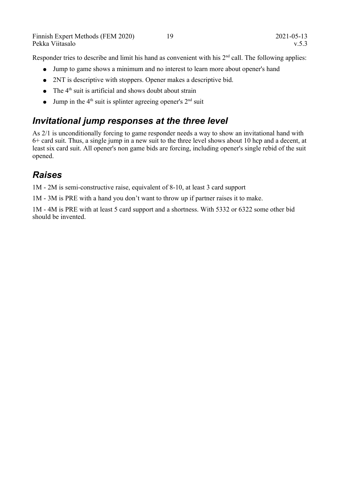Responder tries to describe and limit his hand as convenient with his 2<sup>nd</sup> call. The following applies:

- Jump to game shows a minimum and no interest to learn more about opener's hand
- 2NT is descriptive with stoppers. Opener makes a descriptive bid.
- $\bullet$  The 4<sup>th</sup> suit is artificial and shows doubt about strain
- Jump in the  $4<sup>th</sup>$  suit is splinter agreeing opener's  $2<sup>nd</sup>$  suit

#### *Invitational jump responses at the three level*

As 2/1 is unconditionally forcing to game responder needs a way to show an invitational hand with 6+ card suit. Thus, a single jump in a new suit to the three level shows about 10 hcp and a decent, at least six card suit. All opener's non game bids are forcing, including opener's single rebid of the suit opened.

#### *Raises*

1M - 2M is semi-constructive raise, equivalent of 8-10, at least 3 card support

1M - 3M is PRE with a hand you don't want to throw up if partner raises it to make.

1M - 4M is PRE with at least 5 card support and a shortness. With 5332 or 6322 some other bid should be invented.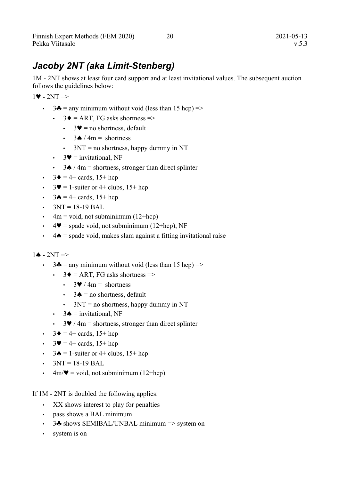### *Jacoby 2NT (aka Limit-Stenberg)*

1M - 2NT shows at least four card support and at least invitational values. The subsequent auction follows the guidelines below:

 $1\blacktriangleright$  -  $2NT \Rightarrow$ 

- $3\clubsuit$  = any minimum without void (less than 15 hcp) =>
	- $3\blacklozenge$  = ART, FG asks shortness =>
		- $3\Psi$  = no shortness, default
		- $3 \triangle / 4m =$  shortness
		- $\cdot$  3NT = no shortness, happy dummy in NT
	- $3\blacktriangledown$  = invitational, NF
	- 3 $\triangle$  / 4m = shortness, stronger than direct splinter
- $3\blacklozenge = 4 + \text{cards}, 15 + \text{hcp}$
- $3\blacktriangledown = 1$ -suiter or 4+ clubs,  $15+$  hcp
- $\cdot$  3 $\bullet$  = 4+ cards, 15+ hcp
- $3NT = 18-19 BAL$
- $\cdot$  4m = void, not subminimum (12+hcp)
- $4\Psi$  = spade void, not subminimum (12+hcp), NF
- $\cdot$  4  $\triangle$  = spade void, makes slam against a fitting invitational raise

#### $1 \triangle - 2NT \Rightarrow$

- $3\clubsuit$  = any minimum without void (less than 15 hcp) =>
	- $3\blacklozenge$  = ART, FG asks shortness =>
		- $3\blacktriangleright$  / 4m = shortness
		- $3 \triangle =$  no shortness, default
		- $\cdot$  3NT = no shortness, happy dummy in NT
	- $3 \spadesuit =$  invitational, NF
	- $3\blacktriangledown/4m$  = shortness, stronger than direct splinter
- $3\blacklozenge = 4 + \text{cards}, 15 + \text{hcp}$
- $3\Psi = 4 + \text{cards}, 15 + \text{hcp}$
- $3\spadesuit = 1$ -suiter or 4+ clubs,  $15+$  hcp
- $3NT = 18-19$  BAL
- $4m/\blacktriangledown = \text{void}, \text{ not subminimum } (12+\text{hop})$

If 1M - 2NT is doubled the following applies:

- XX shows interest to play for penalties
- pass shows a BAL minimum
- 3 $\bullet$  shows SEMIBAL/UNBAL minimum => system on
- system is on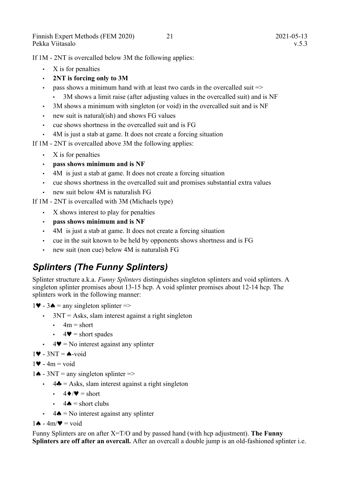If 1M - 2NT is overcalled below 3M the following applies:

- X is for penalties
- **2NT is forcing only to 3M**
- pass shows a minimum hand with at least two cards in the overcalled suit  $\Rightarrow$ 
	- 3M shows a limit raise (after adjusting values in the overcalled suit) and is NF
- 3M shows a minimum with singleton (or void) in the overcalled suit and is NF
- new suit is natural(ish) and shows FG values
- cue shows shortness in the overcalled suit and is FG
- 4M is just a stab at game. It does not create a forcing situation
- If 1M 2NT is overcalled above 3M the following applies:
	- X is for penalties
	- **pass shows minimum and is NF**
	- 4M is just a stab at game. It does not create a forcing situation
	- cue shows shortness in the overcalled suit and promises substantial extra values
	- new suit below 4M is naturalish FG

If 1M - 2NT is overcalled with 3M (Michaels type)

- X shows interest to play for penalties
- **pass shows minimum and is NF**
- 4M is just a stab at game. It does not create a forcing situation
- cue in the suit known to be held by opponents shows shortness and is FG
- new suit (non cue) below 4M is naturalish FG

# *Splinters (The Funny Splinters)*

Splinter structure a.k.a. *Funny Splinters* distinguishes singleton splinters and void splinters. A singleton splinter promises about 13-15 hcp. A void splinter promises about 12-14 hcp. The splinters work in the following manner:

 $1\blacktriangleright$  - 3 $\blacktriangle$  = any singleton splinter =>

- $\cdot$  3NT = Asks, slam interest against a right singleton
	- $\cdot$  4m = short
	- $4\blacktriangledown$  = short spades
- $4\blacktriangledown =$  No interest against any splinter

 $1 \blacktriangleright$  - 3NT =  $\blacktriangle$ -void

 $1\blacktriangleright$  - 4m = void

- $1 \spadesuit$  3NT = any singleton splinter =>
	- $\cdot$  4 $\clubsuit$  = Asks, slam interest against a right singleton
		- $\cdot$  4  $\blacklozenge$  /  $\blacktriangledown$  = short
		- $4\spadesuit$  = short clubs
	- $\cdot$  4  $\bullet$  = No interest against any splinter

 $1 \triangle - 4m/\Psi = \text{void}$ 

Funny Splinters are on after X=T/O and by passed hand (with hcp adjustment). **The Funny Splinters are off after an overcall.** After an overcall a double jump is an old-fashioned splinter i.e.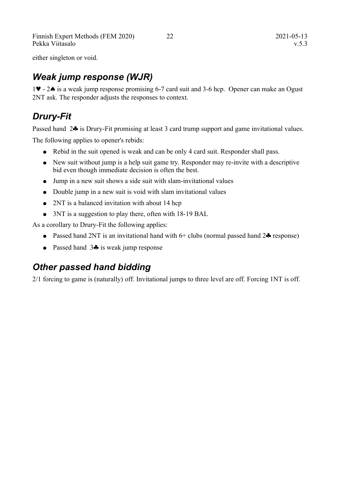Finnish Expert Methods (FEM 2020) 22 2021-05-13 Pekka Viitasalo v.5.3

either singleton or void.

#### *Weak jump response (WJR)*

1.  $\blacktriangleright$  - 2. is a weak jump response promising 6-7 card suit and 3-6 hcp. Opener can make an Ogust 2NT ask. The responder adjusts the responses to context.

#### *Drury-Fit*

Passed hand 2<sup>1</sup> is Drury-Fit promising at least 3 card trump support and game invitational values.

The following applies to opener's rebids:

- Rebid in the suit opened is weak and can be only 4 card suit. Responder shall pass.
- New suit without jump is a help suit game try. Responder may re-invite with a descriptive bid even though immediate decision is often the best.
- Jump in a new suit shows a side suit with slam-invitational values
- Double jump in a new suit is void with slam invitational values
- 2NT is a balanced invitation with about 14 hcp
- 3NT is a suggestion to play there, often with 18-19 BAL

As a corollary to Drury-Fit the following applies:

- Passed hand 2NT is an invitational hand with  $6+$  clubs (normal passed hand  $2\clubsuit$  response)
- Passed hand  $3\clubsuit$  is weak jump response

#### *Other passed hand bidding*

2/1 forcing to game is (naturally) off. Invitational jumps to three level are off. Forcing 1NT is off.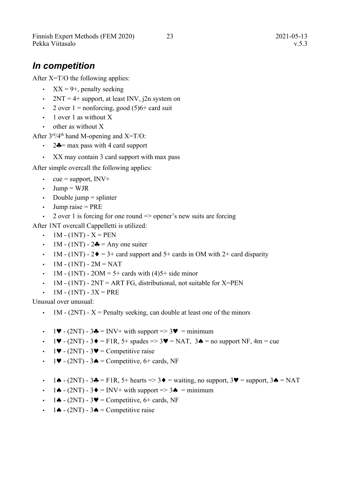Finnish Expert Methods (FEM 2020) 23 2021-05-13 Pekka Viitasalo v.5.3

*In competition*

After X=T/O the following applies:

- $XX = 9+$ , penalty seeking
- 2NT = 4+ support, at least INV,  $i2n$  system on
- 2 over  $1 =$  nonforcing, good  $(5)6+$  card suit
- 1 over 1 as without X
- other as without X

After  $3<sup>rd</sup>/4<sup>th</sup>$  hand M-opening and X=T/O:

- 2 $\triangle$  = max pass with 4 card support
- XX may contain 3 card support with max pass

After simple overcall the following applies:

- cue = support,  $\text{INV+}$
- $\cdot$  Jump = WJR
- Double jump  $=$  splinter
- Jump raise  $=$  PRE
- 2 over 1 is forcing for one round  $\Rightarrow$  opener's new suits are forcing

After 1NT overcall Cappelletti is utilized:

- $1M (1NT) X = PEN$
- 1M (1NT)  $2\clubsuit$  = Any one suiter
- 1M (1NT)  $2\blacklozenge = 3$ + card support and  $5$ + cards in OM with 2+ card disparity
- $1M (1NT) 2M = NAT$
- 1M (1NT) 2OM = 5+ cards with  $(4)5+$  side minor
- 1M (1NT)  $2NT = ART FG$ , distributional, not suitable for X=PEN
- $1M (1NT) 3X = PRE$

Unusual over unusual:

- 1M  $(2NT)$  X = Penalty seeking, can double at least one of the minors
- $\cdot$  1  $\blacktriangleright$  (2NT) 3  $\blacklozenge$  = INV+ with support => 3  $\blacktriangleright$  = minimum
- $\cdot$  1  $\blacktriangleright$  (2NT) 3  $\blacklozenge$  = F1R, 5+ spades => 3 $\blacktriangleright$  = NAT, 3  $\blacklozenge$  = no support NF, 4m = cue
- 1 $\blacktriangleright$  (2NT) 3 $\blacktriangleright$  = Competitive raise
- $1\blacktriangledown$  (2NT) 3 $\blacktriangle$  = Competitive, 6+ cards, NF
- 1 $\triangle$  (2NT) 3 $\triangle$  = F1R, 5+ hearts => 3 $\triangle$  = waiting, no support, 3 $\triangle$  = support, 3 $\triangle$  = NAT
- $\cdot$  1.  $\triangle$  (2NT) 3.  $\triangle$  = INV+ with support => 3. = minimum
- $\cdot$  1.  $\bullet$  (2NT) 3 $\bullet$  = Competitive, 6+ cards, NF
- $\cdot$  14 (2NT) 34 = Competitive raise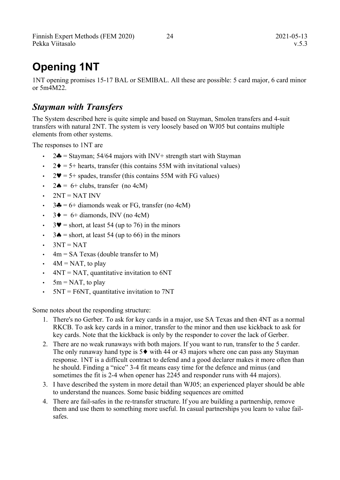# **Opening 1NT**

1NT opening promises 15-17 BAL or SEMIBAL. All these are possible: 5 card major, 6 card minor or 5m4M22.

#### *Stayman with Transfers*

The System described here is quite simple and based on Stayman, Smolen transfers and 4-suit transfers with natural 2NT. The system is very loosely based on WJ05 but contains multiple elements from other systems.

The responses to 1NT are

- $2\clubsuit$  = Stayman; 54/64 majors with INV+ strength start with Stayman
- $2\blacklozenge = 5$ + hearts, transfer (this contains 55M with invitational values)
- $2\Psi = 5$ + spades, transfer (this contains 55M with FG values)
- $2\spadesuit = 6 + \text{clubs}$ , transfer (no 4cM)
- $\cdot$  2NT = NAT INV
- $3\clubsuit$  = 6+ diamonds weak or FG, transfer (no 4cM)
- $3\blacklozenge = 6 + \text{diamond}, \text{INV} (\text{no } 4\text{cM})$
- $3\blacktriangledown$  = short, at least 54 (up to 76) in the minors
- $3\spadesuit$  = short, at least 54 (up to 66) in the minors
- $3NT = NAT$
- $\cdot$  4m = SA Texas (double transfer to M)
- $\cdot$  4M = NAT, to play
- $4NT = NAT$ , quantitative invitation to 6NT
- $5m = \text{NAT}$ , to play
- $5NT = F6NT$ , quantitative invitation to  $7NT$

Some notes about the responding structure:

- 1. There's no Gerber. To ask for key cards in a major, use SA Texas and then 4NT as a normal RKCB. To ask key cards in a minor, transfer to the minor and then use kickback to ask for key cards. Note that the kickback is only by the responder to cover the lack of Gerber.
- 2. There are no weak runaways with both majors. If you want to run, transfer to the 5 carder. The only runaway hand type is  $5\blacklozenge$  with 44 or 43 majors where one can pass any Stayman response. 1NT is a difficult contract to defend and a good declarer makes it more often than he should. Finding a "nice" 3-4 fit means easy time for the defence and minus (and sometimes the fit is 2-4 when opener has 2245 and responder runs with 44 majors).
- 3. I have described the system in more detail than WJ05; an experienced player should be able to understand the nuances. Some basic bidding sequences are omitted
- 4. There are fail-safes in the re-transfer structure. If you are building a partnership, remove them and use them to something more useful. In casual partnerships you learn to value failsafes.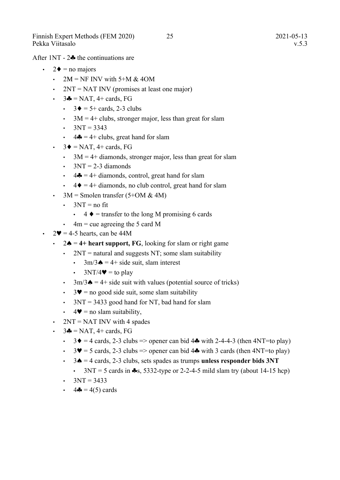After  $1NT - 2$  the continuations are

- $\cdot$  2  $\bullet$  = no majors
	- $2M = NF$  INV with 5+M & 4OM
	- $2NT = NAT$  INV (promises at least one major)
	- $\cdot$  3 $\clubsuit$  = NAT, 4+ cards, FG
		- $3\blacklozenge = 5 + \text{cards}, 2-3 \text{ clubs}$
		- $3M = 4 +$  clubs, stronger major, less than great for slam
		- $3NT = 3343$
		- $4\clubsuit = 4 +$  clubs, great hand for slam
	- $3\blacklozenge = \text{NAT}$ , 4+ cards, FG
		- $\cdot$  3M = 4+ diamonds, stronger major, less than great for slam
		- $\cdot$  3NT = 2-3 diamonds
		- $\cdot$  4  $\bullet$  = 4+ diamonds, control, great hand for slam
		- $\cdot$  4  $\bullet$  = 4+ diamonds, no club control, great hand for slam
	- $3M =$  Smolen transfer (5+OM & 4M)
		- $\cdot$  3NT = no fit
			- $\cdot$  4  $\bullet$  = transfer to the long M promising 6 cards
		- $\cdot$  4m = cue agreeing the 5 card M
- $2\Psi = 4-5$  hearts, can be 44M
	- $2\spadesuit = 4+$  heart support, FG, looking for slam or right game
		- $2NT =$  natural and suggests NT; some slam suitability
			- $3m/3 \triangle = 4 + \text{side suit, slam interest}$
			- $3NT/4$  = to play
		- $3m/3$   $\blacktriangle$  = 4+ side suit with values (potential source of tricks)
		- $\cdot$  3 $\bullet$  = no good side suit, some slam suitability
		- 3NT = 3433 good hand for NT, bad hand for slam
		- $\cdot$  4  $\bullet$  = no slam suitability.
	- $2NT = NAT$  INV with 4 spades
	- $3\clubsuit$  = NAT, 4+ cards, FG
		- $3\blacklozenge = 4$  cards, 2-3 clubs => opener can bid 4 $\blacklozenge$  with 2-4-4-3 (then 4NT=to play)
		- $3\blacktriangledown = 5$  cards, 2-3 clubs => opener can bid 4 $\clubsuit$  with 3 cards (then 4NT=to play)
		- $\cdot$  3 $\bullet$  = 4 cards, 2-3 clubs, sets spades as trumps **unless responder bids 3NT** 
			- $3NT = 5$  cards in  $\clubsuit$ s, 5332-type or 2-2-4-5 mild slam try (about 14-15 hcp)
		- $3NT = 3433$
		- $4\clubsuit = 4(5)$  cards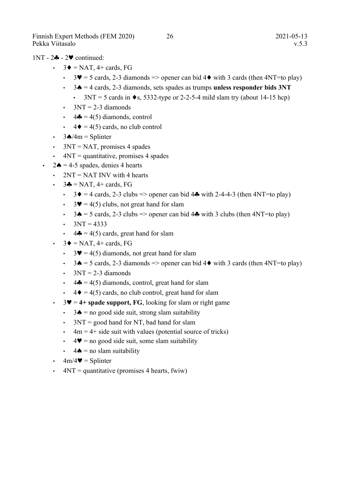#### $1NT - 2$  -  $2$  continued:

- $\cdot$  3  $\bullet$  = NAT, 4+ cards, FG
	- $3\blacktriangledown = 5$  cards, 2-3 diamonds => opener can bid 4 $\blacklozenge$  with 3 cards (then 4NT=to play)
	- $\cdot$  3 $\bullet$  = 4 cards, 2-3 diamonds, sets spades as trumps **unless responder bids 3NT** 
		- $3NT = 5$  cards in  $\bullet s$ , 5332-type or 2-2-5-4 mild slam try (about 14-15 hcp)
	- $3NT = 2-3$  diamonds
	- $\cdot$  4 $\clubsuit$  = 4(5) diamonds, control
	- $4\blacklozenge = 4(5)$  cards, no club control
- $\cdot$  3 $\triangle$ /4m = Splinter
- $3NT = NAT$ , promises 4 spades
- $\cdot$  4NT = quantitative, promises 4 spades
- 2 $\triangle$  = 4-5 spades, denies 4 hearts
	- $2NT = NAT$  INV with 4 hearts
	- $\cdot$  3 $\clubsuit$  = NAT, 4+ cards, FG
		- $3\blacklozenge = 4$  cards, 2-3 clubs => opener can bid 4 $\blacklozenge$  with 2-4-4-3 (then 4NT=to play)
		- $3\Psi = 4(5)$  clubs, not great hand for slam
		- $3 \triangle = 5$  cards, 2-3 clubs => opener can bid 4 $\triangle$  with 3 clubs (then 4NT=to play)
		- $3NT = 4333$
		- $4\clubsuit = 4(5)$  cards, great hand for slam
	- $3\blacklozenge = \text{NAT}$ , 4+ cards, FG
		- $3\Psi = 4(5)$  diamonds, not great hand for slam
		- $3\spadesuit = 5$  cards, 2-3 diamonds => opener can bid 4 $\spadesuit$  with 3 cards (then 4NT=to play)
		- $\cdot$  3NT = 2-3 diamonds
		- $\cdot$  4% = 4(5) diamonds, control, great hand for slam
		- $\cdot$  4  $\bullet$  = 4(5) cards, no club control, great hand for slam
	- $\cdot$  3 $\bullet$  = 4+ spade support, FG, looking for slam or right game
		- $\cdot$  3 $\bullet$  = no good side suit, strong slam suitability
		- $3NT = good$  hand for NT, bad hand for slam
		- $\cdot$  4m = 4+ side suit with values (potential source of tricks)
		- $\cdot$  4  $\bullet$  = no good side suit, some slam suitability
		- $\cdot$  4  $\triangle$  = no slam suitability
	- $\cdot$  4m/4 $\bullet$  = Splinter
	- $4NT =$  quantitative (promises 4 hearts, fwiw)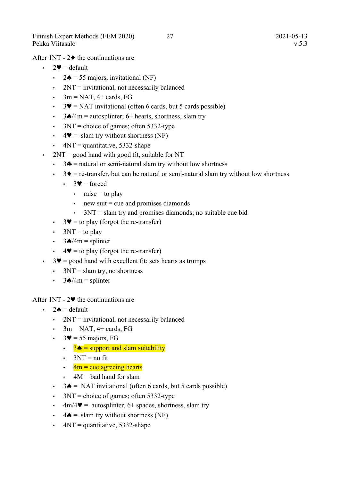After 1NT -  $2\blacklozenge$  the continuations are

- $\cdot$  2 $\bullet$  = default
	- $2\spadesuit = 55$  majors, invitational (NF)
	- $\cdot$  2NT = invitational, not necessarily balanced
	- $\cdot$  3m = NAT, 4+ cards, FG
	- $3\Psi$  = NAT invitational (often 6 cards, but 5 cards possible)
	- $3\triangle/4m$  = autosplinter; 6+ hearts, shortness, slam try
	- $\cdot$  3NT = choice of games; often 5332-type
	- $4\blacktriangledown = \text{slam}$  try without shortness (NF)
	- $4NT =$  quantitative, 5332-shape
- 2NT = good hand with good fit, suitable for NT
	- $3\clubsuit$  = natural or semi-natural slam try without low shortness
	- $\cdot$  3 $\bullet$  = re-transfer, but can be natural or semi-natural slam try without low shortness
		- $3\blacktriangledown$  = forced
			- $\cdot$  raise = to play
			- $\cdot$  new suit = cue and promises diamonds
			- 3NT = slam try and promises diamonds; no suitable cue bid
	- $3\blacktriangledown =$  to play (forgot the re-transfer)
	- $3NT =$  to play
	- $3\triangle/4m =$  splinter
	- $4\blacktriangledown =$  to play (forgot the re-transfer)
- $\cdot$  3 $\bullet$  = good hand with excellent fit; sets hearts as trumps
	- $\cdot$  3NT = slam try, no shortness
	- $3\triangle/4m =$  splinter

After 1NT -  $2\Psi$  the continuations are

- $2\spadesuit$  = default
	- $2NT =$  invitational, not necessarily balanced
	- $\cdot$  3m = NAT, 4+ cards, FG
	- $3\blacktriangledown$  = 55 majors, FG
		- $\cdot$  3  $\triangle$  = support and slam suitability
		- $\cdot$  3NT = no fit
		- $\cdot$  4m = cue agreeing hearts
		- $\cdot$  4M = bad hand for slam
	- $3\spadesuit$  = NAT invitational (often 6 cards, but 5 cards possible)
	- $3NT = choice of games; often 5332-type$
	- $4m/4$  = autosplinter, 6+ spades, shortness, slam try
	- $4\spadesuit$  = slam try without shortness (NF)
	- $4NT =$  quantitative, 5332-shape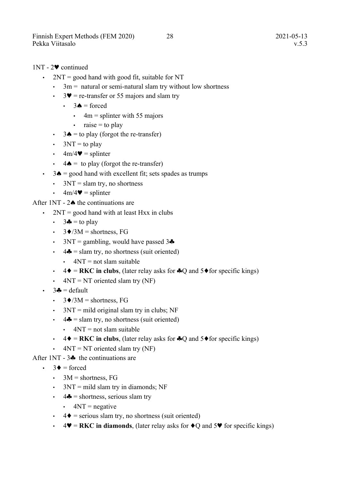- $2NT = good$  hand with good fit, suitable for NT
	- $\cdot$  3m = natural or semi-natural slam try without low shortness
	- $3\blacktriangledown$  = re-transfer or 55 majors and slam try
		- $\cdot$  3  $\bullet$  = forced
			- $\cdot$  4m = splinter with 55 majors
			- $\cdot$  raise = to play
	- $3\spadesuit$  = to play (forgot the re-transfer)
	- $3NT =$  to play
	- $4m/4$  = splinter
	- $4 \spadesuit =$  to play (forgot the re-transfer)
- $\cdot$  3 $\bullet$  = good hand with excellent fit; sets spades as trumps
	- $\cdot$  3NT = slam try, no shortness
	- $\cdot$  4m/4 $\bullet$  = splinter

After 1NT -  $2\spadesuit$  the continuations are

- $2NT = good$  hand with at least Hxx in clubs
	- $\cdot$  3 $\bullet$  = to play
	- $3\blacklozenge/3M$  = shortness, FG
	- 3NT = gambling, would have passed  $3\clubsuit$
	- $\cdot$  4.  $=$  slam try, no shortness (suit oriented)
		- $\cdot$  4NT = not slam suitable
	- $4\blacklozenge = RKC$  in clubs, (later relay asks for  $\clubsuit Q$  and  $5\blacklozenge$  for specific kings)
	- $4NT = NT$  oriented slam try (NF)
- $\cdot$  3 $\bullet$  = default
	- $3\blacklozenge/3M$  = shortness, FG
	- $3NT = mild original slam try in clubs; NF$
	- $\cdot$  4  $\bullet$  = slam try, no shortness (suit oriented)
		- $\cdot$  4NT = not slam suitable
	- $4\blacklozenge = \textbf{R} \textbf{K} \textbf{C}$  in clubs, (later relay asks for  $\blacklozenge$  and  $5\blacklozenge$  for specific kings)
	- $4NT = NT$  oriented slam try (NF)
- After  $1NT 3$  the continuations are
	- $\bullet$  3  $\bullet$  = forced
		- $3M =$ shortness, FG
		- $3NT = mild$  slam try in diamonds; NF
		- $\cdot$  4  $\bullet$  = shortness, serious slam try
			- $\cdot$  4NT = negative
		- $\cdot$  4  $\bullet$  = serious slam try, no shortness (suit oriented)
		- $\cdot$  4  $\blacktriangleright$  = RKC in diamonds, (later relay asks for  $\blacklozenge$  and 5 $\blacktriangleright$  for specific kings)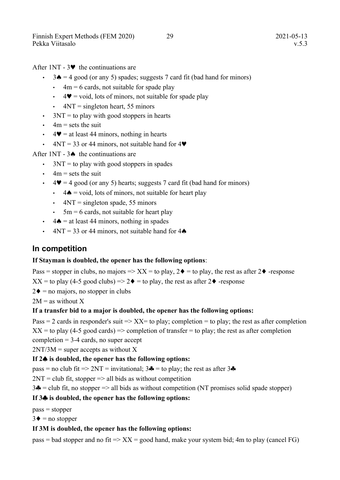After 1NT -  $3\blacktriangledown$  the continuations are

- $3\spadesuit$  = 4 good (or any 5) spades; suggests 7 card fit (bad hand for minors)
	- $\cdot$  4m = 6 cards, not suitable for spade play
	- $\cdot$  4 $\bullet$  = void, lots of minors, not suitable for spade play
	- $\cdot$  4NT = singleton heart, 55 minors
- $\cdot$  3NT = to play with good stoppers in hearts
- $\cdot$  4m = sets the suit
- $\cdot$  4  $\bullet$  = at least 44 minors, nothing in hearts
- $4NT = 33$  or 44 minors, not suitable hand for  $4\blacktriangledown$

After 1NT -  $3\spadesuit$  the continuations are

- $\cdot$  3NT = to play with good stoppers in spades
- $\cdot$  4m = sets the suit
- $\cdot$  4  $\blacktriangleright$  = 4 good (or any 5) hearts; suggests 7 card fit (bad hand for minors)
	- $\cdot$  4  $\triangle$  = void, lots of minors, not suitable for heart play
	- $\cdot$  4NT = singleton spade, 55 minors
	- $\cdot$  5m = 6 cards, not suitable for heart play
- $\cdot$  4  $\triangle$  = at least 44 minors, nothing in spades
- $4NT = 33$  or 44 minors, not suitable hand for  $4\spadesuit$

#### **In competition**

#### **If Stayman is doubled, the opener has the following options**:

Pass = stopper in clubs, no majors =>  $XX$  = to play,  $2\blacklozenge$  = to play, the rest as after  $2\blacklozenge$  -response  $XX =$  to play (4-5 good clubs) => 2 $\blacklozenge$  = to play, the rest as after 2 $\blacklozenge$  -response

 $2\blacklozenge$  = no majors, no stopper in clubs

 $2M =$  as without X

#### **If a transfer bid to a major is doubled, the opener has the following options:**

Pass = 2 cards in responder's suit =>  $XX$ = to play; completion = to play; the rest as after completion

 $XX =$  to play (4-5 good cards) => completion of transfer = to play; the rest as after completion

completion  $=$  3-4 cards, no super accept

 $2NT/3M$  = super accepts as without X

#### **If 2 is doubled, the opener has the following options:**

 $pass = no club fit \implies 2NT = invitational; 3\clubsuit = to play; the rest as after 3\clubsuit$ 

 $2NT = club$  fit, stopper  $\Rightarrow$  all bids as without competition

 $3\clubsuit$  = club fit, no stopper => all bids as without competition (NT promises solid spade stopper)

#### **If 3 is doubled, the opener has the following options:**

 $pass = stopper$ 

 $3\blacklozenge$  = no stopper

#### **If 3M is doubled, the opener has the following options:**

pass = bad stopper and no fit =>  $XX$  = good hand, make your system bid; 4m to play (cancel FG)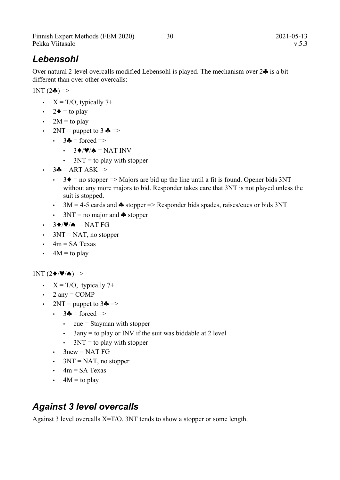Finnish Expert Methods (FEM 2020) 30 30 2021-05-13 Pekka Viitasalo v.5.3

#### *Lebensohl*

Over natural 2-level overcalls modified Lebensohl is played. The mechanism over  $2\clubsuit$  is a bit different than over other overcalls:

 $1NT(2\clubsuit)$  =>

- $X = T/O$ , typically 7+
- 2 $\bullet$  = to play
- $2M =$ to play
- $2NT =$  puppet to 3  $\clubsuit$  =>
	- $\cdot$  3 $\bullet$  = forced =>
		- $\cdot$  3  $\div$  / $\blacktriangledown$  / $\blacktriangle$  = NAT INV
		- $3NT =$  to play with stopper
- $\cdot$  3 $\bullet$  = ART ASK =>
	- $3\blacklozenge$  = no stopper => Majors are bid up the line until a fit is found. Opener bids 3NT without any more majors to bid. Responder takes care that 3NT is not played unless the suit is stopped.
	- $3M = 4-5$  cards and  $\clubsuit$  stopper => Responder bids spades, raises/cues or bids 3NT
	- $3NT = no major and$  Subseteurstand to stopper
- $\cdot$  3  $\blacklozenge$  / $\blacktriangledown$  / $\blacktriangle$  = NAT FG
- $3NT = NAT$ , no stopper
- $\cdot$  4m = SA Texas
- $\cdot$  4M = to play

 $1NT(2\blacklozenge/\blacktriangledown/\spadesuit)$  =>

- $X = T/O$ , typically 7+
- 2 any  $=$  COMP
- 2NT = puppet to  $3\clubsuit \Rightarrow$ 
	- $\cdot$  3 $\bullet$  = forced =>
		- $\cdot$  cue = Stayman with stopper
		- $3$ any = to play or INV if the suit was biddable at 2 level
		- $3NT =$  to play with stopper
	- $\cdot$  3new = NAT FG
	- $3NT = NAT$ , no stopper
	- $\cdot$  4m = SA Texas
	- $\cdot$  4M = to play

#### *Against 3 level overcalls*

Against 3 level overcalls X=T/O. 3NT tends to show a stopper or some length.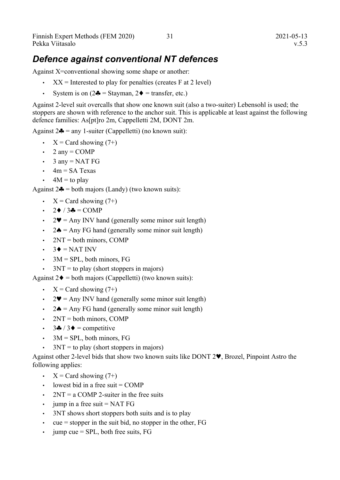#### *Defence against conventional NT defences*

Against X=conventional showing some shape or another:

- $XX =$  Interested to play for penalties (creates F at 2 level)
- System is on  $(2\clubsuit = \text{Stayman}, 2\spadesuit = \text{transfer}, \text{etc.})$

Against 2-level suit overcalls that show one known suit (also a two-suiter) Lebensohl is used; the stoppers are shown with reference to the anchor suit. This is applicable at least against the following defence families: As[pt]ro 2m, Cappelletti 2M, DONT 2m.

Against  $2\clubsuit$  = any 1-suiter (Cappelletti) (no known suit):

- $X = \text{Card showing}(7+)$
- 2 any  $=$  COMP
- $\cdot$  3 any = NAT FG
- $\cdot$  4m = SA Texas
- $\cdot$  4M = to play

Against  $2\clubsuit$  = both majors (Landy) (two known suits):

- $X = \text{Card showing}(7+)$
- $\cdot$  2  $\bullet$  / 3  $\bullet$  = COMP
- $2\Psi$  = Any INV hand (generally some minor suit length)
- $2\spadesuit$  = Any FG hand (generally some minor suit length)
- $2NT = both minors, COMP$
- $\cdot$  3  $\bullet$  = NAT INV
- $\cdot$  3M = SPL, both minors, FG
- $3NT =$  to play (short stoppers in majors)

Against  $2\blacklozenge =$  both majors (Cappelletti) (two known suits):

- $X = \text{Card showing}(7+)$
- $2\Psi$  = Any INV hand (generally some minor suit length)
- $2\spadesuit$  = Any FG hand (generally some minor suit length)
- $\cdot$  2NT = both minors, COMP
- $3\clubsuit / 3\spadesuit$  = competitive
- $\cdot$  3M = SPL, both minors, FG
- $3NT =$  to play (short stoppers in majors)

Against other 2-level bids that show two known suits like DONT 2 $\blacktriangledown$ , Brozel, Pinpoint Astro the following applies:

- $X = \text{Card showing}(7+)$
- $\cdot$  lowest bid in a free suit = COMP
- $2NT = a COMP 2-suiter in the free suits$
- jump in a free suit  $=$  NAT FG
- 3NT shows short stoppers both suits and is to play
- $\cdot$  cue = stopper in the suit bid, no stopper in the other, FG
- $jump cue = SPIL, both free suits, FG$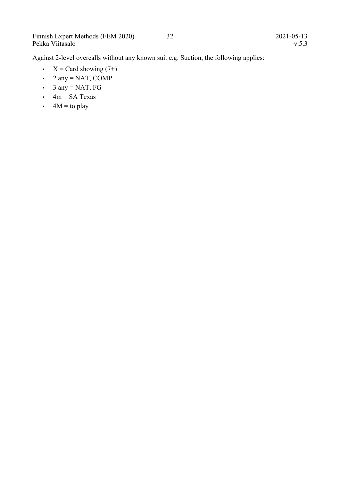Against 2-level overcalls without any known suit e.g. Suction, the following applies:

- $X = Card showing (7+)$
- 2 any = NAT, COMP
- 3 any = NAT, FG
- $\cdot$  4m = SA Texas
- $4M =$  to play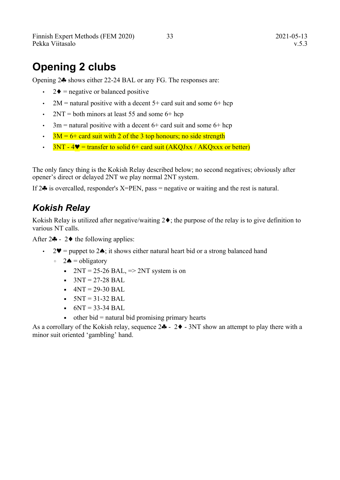Finnish Expert Methods (FEM 2020) 33 2021-05-13 Pekka Viitasalo v.5.3

# **Opening 2 clubs**

Opening 2<sup> $\clubsuit$ </sup> shows either 22-24 BAL or any FG. The responses are:

- $2\blacklozenge$  = negative or balanced positive
- 2M = natural positive with a decent  $5+$  card suit and some  $6+$  hcp
- 2NT = both minors at least 55 and some  $6+$  hcp
- $\cdot$  3m = natural positive with a decent 6+ card suit and some 6+ hcp
- $3M = 6+$  card suit with 2 of the 3 top honours; no side strength
- $3NT 4$  = transfer to solid 6+ card suit  $(AKOJxx / AKOxx)$  or better)

The only fancy thing is the Kokish Relay described below; no second negatives; obviously after opener's direct or delayed 2NT we play normal 2NT system.

If  $2\clubsuit$  is overcalled, responder's X=PEN, pass = negative or waiting and the rest is natural.

#### *Kokish Relay*

Kokish Relay is utilized after negative/waiting  $2\blacklozenge$ ; the purpose of the relay is to give definition to various NT calls.

After  $2\clubsuit$  -  $2\spadesuit$  the following applies:

- 2 $\blacktriangleright$  2 $\blacktriangleright$  = puppet to 2 $\blacktriangle$ ; it shows either natural heart bid or a strong balanced hand
	- $\circ$  2 $\spadesuit$  = obligatory
		- $\bullet$  2NT = 25-26 BAL,  $\Rightarrow$  2NT system is on
		- $\bullet$  3NT = 27-28 BAL
		- $4NT = 29-30 BAL$
		- $5NT = 31-32 BAL$
		- $-6NT = 33-34 BAL$
		- $\bullet$  other bid = natural bid promising primary hearts

As a corrollary of the Kokish relay, sequence  $2\clubsuit - 2\spadesuit - 3NT$  show an attempt to play there with a minor suit oriented 'gambling' hand.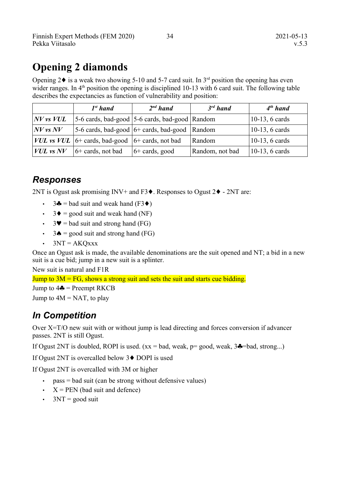# **Opening 2 diamonds**

Opening  $2\blacklozenge$  is a weak two showing 5-10 and 5-7 card suit. In  $3<sup>rd</sup>$  position the opening has even wider ranges. In  $4<sup>th</sup>$  position the opening is disciplined 10-13 with 6 card suit. The following table describes the expectancies as function of vulnerability and position:

|                | $Ist$ hand                                                             | $2nd$ hand       | $3^{rd}$ hand   | $4th$ hand             |
|----------------|------------------------------------------------------------------------|------------------|-----------------|------------------------|
| $NV$ vs $VUL$  | $\vert$ 5-6 cards, bad-good $\vert$ 5-6 cards, bad-good $\vert$ Random |                  |                 | 10-13, 6 cards         |
| $ NV$ vs $NV$  | 5-6 cards, bad-good $6+$ cards, bad-good                               |                  | Random          | $\vert$ 10-13, 6 cards |
|                | <i>VUL</i> vs <i>VUL</i> $ 6+$ cards, bad-good $ 6+$ cards, not bad    |                  | Random          | $\vert$ 10-13, 6 cards |
| $ VUL$ vs $NV$ | $6+$ cards, not bad                                                    | $6+$ cards, good | Random, not bad | $\vert$ 10-13, 6 cards |

### *Responses*

2NT is Ogust ask promising INV+ and F3 $\blacklozenge$ . Responses to Ogust 2 $\blacklozenge$  - 2NT are:

- $3\clubsuit$  = bad suit and weak hand (F3 $\spadesuit$ )
- $3\blacklozenge = \text{good suit}$  and weak hand (NF)
- $3\blacktriangledown$  = bad suit and strong hand (FG)
- $3\spadesuit$  = good suit and strong hand (FG)
- $3NT = AKO$ xxx

Once an Ogust ask is made, the available denominations are the suit opened and NT; a bid in a new suit is a cue bid; jump in a new suit is a splinter.

New suit is natural and F1R

Jump to  $3M = FG$ , shows a strong suit and sets the suit and starts cue bidding.

Jump to  $4\clubsuit$  = Preempt RKCB

Jump to  $4M = NAT$ , to play

### *In Competition*

Over X=T/O new suit with or without jump is lead directing and forces conversion if advancer passes. 2NT is still Ogust.

If Ogust 2NT is doubled, ROPI is used.  $(xx = bad$ , weak,  $p = good$ , weak,  $3\clubsuit = bad$ , strong...)

If Ogust 2NT is overcalled below  $3\blacklozenge$  DOPI is used

If Ogust 2NT is overcalled with 3M or higher

- $pass = bad$  suit (can be strong without defensive values)
- $X = PEN$  (bad suit and defence)
- $3NT = good suit$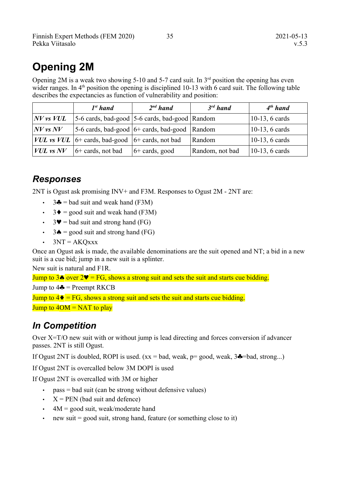# **Opening 2M**

Opening 2M is a weak two showing 5-10 and 5-7 card suit. In  $3<sup>rd</sup>$  position the opening has even wider ranges. In  $4<sup>th</sup>$  position the opening is disciplined 10-13 with 6 card suit. The following table describes the expectancies as function of vulnerability and position:

|                | $I^{st}$ hand                                                | $2nd$ hand                                                                                 | $3^{rd}$ hand   | $4th$ hand                |
|----------------|--------------------------------------------------------------|--------------------------------------------------------------------------------------------|-----------------|---------------------------|
| $N V$ vs $VUL$ |                                                              | $ 5-6 \text{ cards}, \text{bad-good}   5-6 \text{ cards}, \text{bad-good}   \text{Random}$ |                 | 10-13, 6 cards            |
| $ NV$ vs $NV$  |                                                              | 5-6 cards, bad-good $ 6+$ cards, bad-good Random                                           |                 | $\vert$ 10-13, 6 cards    |
|                | <i>VUL vs VUL</i> $ 6+$ cards, bad-good $ 6+$ cards, not bad |                                                                                            | Random          | 10-13, 6 cards            |
| $VUL$ vs $NV$  | $6+$ cards, not bad                                          | $6+$ cards, good                                                                           | Random, not bad | $ 10-13, 6 \text{ cards}$ |

### *Responses*

2NT is Ogust ask promising INV+ and F3M. Responses to Ogust 2M - 2NT are:

- $3\clubsuit$  = bad suit and weak hand (F3M)
- $3\blacklozenge = \text{good suit}$  and weak hand (F3M)
- $3\blacktriangledown$  = bad suit and strong hand (FG)
- $3\spadesuit$  = good suit and strong hand (FG)
- $3NT = AKQxxx$

Once an Ogust ask is made, the available denominations are the suit opened and NT; a bid in a new suit is a cue bid; jump in a new suit is a splinter.

New suit is natural and F1R.

Jump to  $3\bullet$  over  $2\Psi = FG$ , shows a strong suit and sets the suit and starts cue bidding. Jump to  $4\clubsuit$  = Preempt RKCB

Jump to  $4\blacklozenge = FG$ , shows a strong suit and sets the suit and starts cue bidding. Jump to  $4OM = NAT$  to play

### *In Competition*

Over X=T/O new suit with or without jump is lead directing and forces conversion if advancer passes. 2NT is still Ogust.

If Ogust 2NT is doubled, ROPI is used.  $(xx = bad$ , weak,  $p = good$ , weak,  $3\clubsuit = bad$ , strong...)

If Ogust 2NT is overcalled below 3M DOPI is used

If Ogust 2NT is overcalled with 3M or higher

- $pass = bad$  suit (can be strong without defensive values)
- $X = PEN$  (bad suit and defence)
- $\cdot$  4M = good suit, weak/moderate hand
- new suit  $=$  good suit, strong hand, feature (or something close to it)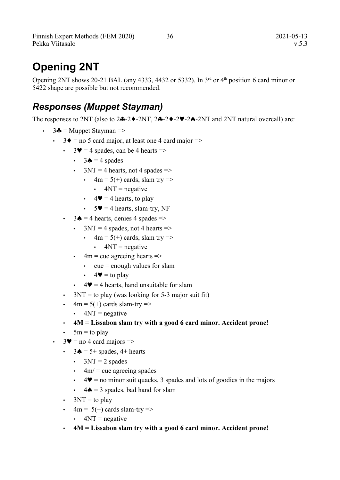Finnish Expert Methods (FEM 2020) 36 2021-05-13 Pekka Viitasalo v.5.3

# **Opening 2NT**

Opening 2NT shows 20-21 BAL (any 4333, 4432 or 5332). In  $3<sup>rd</sup>$  or  $4<sup>th</sup>$  position 6 card minor or 5422 shape are possible but not recommended.

### *Responses (Muppet Stayman)*

The responses to 2NT (also to  $2\clubsuit -2\blacklozenge -2\blacklozenge -2\blacklozenge -2\blacklozenge -2\blacklozenge -2\blacklozenge -2\blacklozenge -2\blacklozenge -2\blacklozenge -2\blacklozenge -2\blacklozenge -2\blacklozenge -2\blacklozenge -2\blacklozenge -2\blacklozenge -2\blacklozenge -2\blacklozenge -2\blacklozenge -2\blacklozenge -2\blacklozenge -2\blacklozenge -2\blacklozenge -2\blacklozenve -2\blacklozenge -2\blacklozenge -2\blacklozenge -2\black$ 

- $3\clubsuit$  = Muppet Stayman =>
	- $3\blacklozenge$  = no 5 card major, at least one 4 card major =>
		- $3\blacktriangledown = 4$  spades, can be 4 hearts  $\Rightarrow$ 
			- $\cdot$  3 $\bullet$  = 4 spades
			- $3NT = 4$  hearts, not 4 spades  $\Rightarrow$ 
				- $4m = 5(+)$  cards, slam try  $\Rightarrow$ 
					- $\cdot$  4NT = negative
				- $4\blacktriangleright$  = 4 hearts, to play
				- $5\blacktriangledown = 4$  hearts, slam-try, NF
		- $3\spadesuit = 4$  hearts, denies 4 spades  $\Rightarrow$ 
			- $3NT = 4$  spades, not 4 hearts  $\Rightarrow$ 
				- $4m = 5(+)$  cards, slam try  $\Rightarrow$ 
					- $\cdot$  4NT = negative
			- $\cdot$  4m = cue agreeing hearts =>
				- $\cdot$  cue = enough values for slam
				- $4\blacktriangledown =$  to play
			- $4\blacktriangledown = 4$  hearts, hand unsuitable for slam
		- $3NT =$  to play (was looking for 5-3 major suit fit)
		- $\cdot$  4m = 5(+) cards slam-try =>
			- $\cdot$  4NT = negative
		- **4M = Lissabon slam try with a good 6 card minor. Accident prone!**
		- $5m =$  to play
	- $\cdot$  3 $\bullet$  = no 4 card majors =>
		- $3 \spadesuit = 5 + \text{spades}, 4 + \text{hearts}$ 
			- $3NT = 2$  spades
			- $\cdot$  4m/ = cue agreeing spades
			- $\cdot$  4 $\blacktriangleright$  = no minor suit quacks, 3 spades and lots of goodies in the majors
			- $4\spadesuit$  = 3 spades, bad hand for slam
		- $3NT =$  to play
		- $\cdot$  4m = 5(+) cards slam-try =>
			- $\cdot$  4NT = negative
		- **4M = Lissabon slam try with a good 6 card minor. Accident prone!**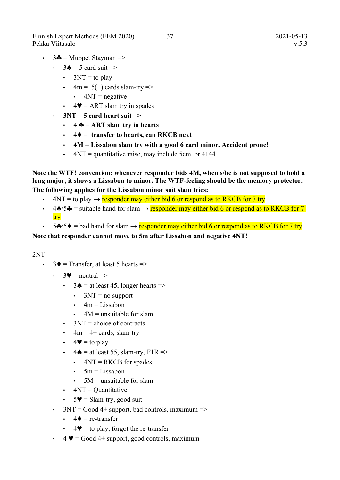Finnish Expert Methods (FEM 2020) 37 2021-05-13 Pekka Viitasalo v.5.3

- $\cdot$  3 $\bullet$  = Muppet Stayman =>
	- $\cdot$  3 $\bullet$  = 5 card suit =>
		- $3NT =$  to play
		- $4m = 5(+)$  cards slam-try  $\Rightarrow$ 
			- $\cdot$  4NT = negative
		- $4\Psi$  = ART slam try in spades
	- $3NT = 5$  card heart suit  $\Rightarrow$ 
		- $\cdot$  4  $\clubsuit$  = ART slam try in hearts
		- $\cdot$  4  $\bullet$  = transfer to hearts, can RKCB next
		- **4M = Lissabon slam try with a good 6 card minor. Accident prone!**
		- $\cdot$  4NT = quantitative raise, may include 5cm, or 4144

**Note the WTF! convention: whenever responder bids 4M, when s/he is not supposed to hold a long major, it shows a Lissabon to minor. The WTF-feeling should be the memory protector. The following applies for the Lissabon minor suit slam tries:**

- $4NT =$  to play  $\rightarrow$  responder may either bid 6 or respond as to RKCB for 7 try
- 4 $\triangle$ /5 $\triangle$  = suitable hand for slam  $\rightarrow$  responder may either bid 6 or respond as to RKCB for 7 try
- 5 $\clubsuit$ /5 $\blacklozenge$  = bad hand for slam → responder may either bid 6 or respond as to RKCB for 7 try

#### **Note that responder cannot move to 5m after Lissabon and negative 4NT!**

#### 2NT

- $3\blacklozenge$  = Transfer, at least 5 hearts =>
	- $\cdot$  3 $\bullet$  = neutral =>
		- $3\spadesuit$  = at least 45, longer hearts =>
			- $\cdot$  3NT = no support
			- $\cdot$  4m = Lissabon
			- $4M =$  unsuitable for slam
		- $\cdot$  3NT = choice of contracts
		- $\cdot$  4m = 4+ cards, slam-try
		- $\cdot$  4 $\blacktriangleright$  = to play
		- $\cdot$  4  $\bullet$  = at least 55, slam-try, F1R =>
			- $\cdot$  4NT = RKCB for spades
			- $5m = Lissabon$
			- $\cdot$  5M = unsuitable for slam
		- $\cdot$  4NT = Quantitative
		- $5\blacktriangleright$  = Slam-try, good suit
	- $3NT = Good4+ support, bad controls, maximum =>$ 
		- $4\blacklozenge$  = re-transfer
		- $4\blacktriangledown =$  to play, forgot the re-transfer
	- $\bullet$  4  $\bullet$  = Good 4+ support, good controls, maximum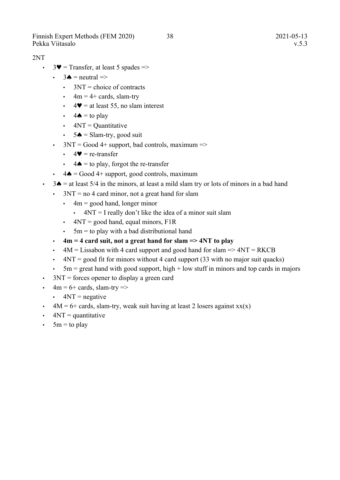Finnish Expert Methods (FEM 2020) 38 2021-05-13 Pekka Viitasalo v.5.3

#### 2NT

- $3\blacktriangledown$  = Transfer, at least 5 spades =>
	- $\cdot$  3 $\bullet$  = neutral =>
		- $\cdot$  3NT = choice of contracts
		- $\cdot$  4m = 4+ cards, slam-try
		- $4\blacktriangleright$  = at least 55, no slam interest
		- $\cdot$  4  $\bullet$  = to play
		- $\cdot$  4NT = Quantitative
		- $5 \triangle =$  Slam-try, good suit
	- $3NT = Good4 + support, bad controls, maximum =>$ 
		- $\cdot$  4 $\bullet$  = re-transfer
		- $\cdot$  4  $\bullet$  = to play, forgot the re-transfer
	- $4\spadesuit$  = Good 4+ support, good controls, maximum
- $\cdot$  3 $\bullet$  = at least 5/4 in the minors, at least a mild slam try or lots of minors in a bad hand
	- $\cdot$  3NT = no 4 card minor, not a great hand for slam
		- $\cdot$  4m = good hand, longer minor
			- $\cdot$  4NT = I really don't like the idea of a minor suit slam
		- $4NT = good hand, equal minors, F1R$
		- $\cdot$  5m = to play with a bad distributional hand
	- **4m = 4 card suit, not a great hand for slam => 4NT to play**
	- $4M =$  Lissabon with 4 card support and good hand for slam  $\Rightarrow$  4NT = RKCB
	- $\cdot$  4NT = good fit for minors without 4 card support (33 with no major suit quacks)
	- $5m =$  great hand with good support, high  $+$  low stuff in minors and top cards in majors
- $\cdot$  3NT = forces opener to display a green card
- $\cdot$  4m = 6+ cards, slam-try =>
	- $\cdot$  4NT = negative
- $4M = 6 + \text{cards}, \text{slam-try}, \text{weak suit having at least 2 losses against xx(x)}$
- $\cdot$  4NT = quantitative
- $\cdot$  5m = to play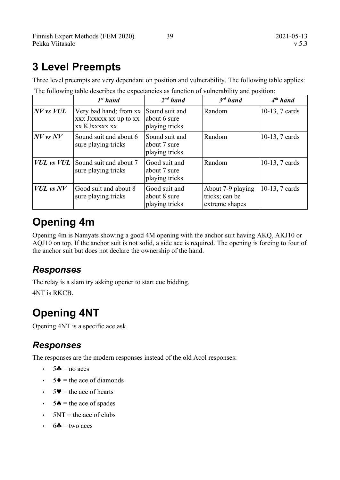# **3 Level Preempts**

|                | $Ist$ hand                                                               | $2^{nd}$ hand                                    | $3^{rd}$ hand                                         | $4th$ hand     |
|----------------|--------------------------------------------------------------------------|--------------------------------------------------|-------------------------------------------------------|----------------|
| $N V$ vs $VUL$ | Very bad hand; from xx<br>xxx Jxxxxx xx up to xx<br><b>XX KJXXXXX XX</b> | Sound suit and<br>about 6 sure<br>playing tricks | Random                                                | 10-13, 7 cards |
| $N V$ vs $N V$ | Sound suit and about 6<br>sure playing tricks                            | Sound suit and<br>about 7 sure<br>playing tricks | Random                                                | 10-13, 7 cards |
| $VUL$ vs $VUL$ | Sound suit and about 7<br>sure playing tricks                            | Good suit and<br>about 7 sure<br>playing tricks  | Random                                                | 10-13, 7 cards |
| $VUL$ vs $NV$  | Good suit and about 8<br>sure playing tricks                             | Good suit and<br>about 8 sure<br>playing tricks  | About 7-9 playing<br>tricks; can be<br>extreme shapes | 10-13, 7 cards |

Three level preempts are very dependant on position and vulnerability. The following table applies: The following table describes the expectancies as function of vulnerability and position:

# **Opening 4m**

Opening 4m is Namyats showing a good 4M opening with the anchor suit having AKQ, AKJ10 or AQJ10 on top. If the anchor suit is not solid, a side ace is required. The opening is forcing to four of the anchor suit but does not declare the ownership of the hand.

### *Responses*

The relay is a slam try asking opener to start cue bidding.

4NT is RKCB.

# **Opening 4NT**

Opening 4NT is a specific ace ask.

### *Responses*

The responses are the modern responses instead of the old Acol responses:

- $\cdot$  5 $\clubsuit$  = no aces
- $\cdot$  5  $\bullet$  = the ace of diamonds
- $\cdot$  5 $\bullet$  = the ace of hearts
- $\cdot$  5 $\bullet$  = the ace of spades
- $\cdot$  5NT = the ace of clubs
- $\cdot$  6<sup> $\bullet$ </sup> = two aces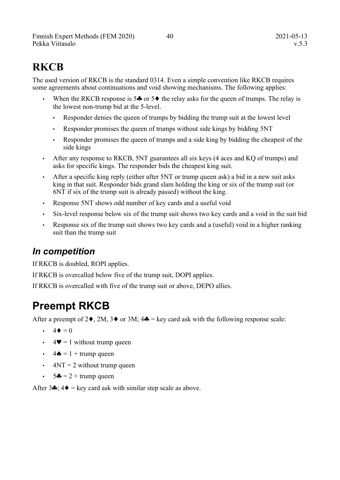Finnish Expert Methods (FEM 2020) 40 40 2021-05-13 Pekka Viitasalo v.5.3

# **RKCB**

The used version of RKCB is the standard 0314. Even a simple convention like RKCB requires some agreements about continuations and void showing mechanisms. The following applies:

- When the RKCB response is  $5\clubsuit$  or  $5\spadesuit$  the relay asks for the queen of trumps. The relay is the lowest non-trump bid at the 5-level.
	- Responder denies the queen of trumps by bidding the trump suit at the lowest level
	- Responder promises the queen of trumps without side kings by bidding 5NT
	- Responder promises the queen of trumps and a side king by bidding the cheapest of the side kings
- After any response to RKCB, 5NT guarantees all six keys (4 aces and KO of trumps) and asks for specific kings. The responder bids the cheapest king suit.
- After a specific king reply (either after 5NT or trump queen ask) a bid in a new suit asks king in that suit. Responder bids grand slam holding the king or six of the trump suit (or 6NT if six of the trump suit is already passed) without the king.
- Response 5NT shows odd number of key cards and a useful void
- Six-level response below six of the trump suit shows two key cards and a void in the suit bid
- Response six of the trump suit shows two key cards and a (useful) void in a higher ranking suit than the trump suit

#### *In competition*

If RKCB is doubled, ROPI applies.

If RKCB is overcalled below five of the trump suit, DOPI applies.

If RKCB is overcalled with five of the trump suit or above, DEPO allies.

# <span id="page-43-0"></span>**Preempt RKCB**

After a preempt of  $2\blacklozenge$ ,  $2M$ ,  $3\blacklozenge$  or  $3M$ ;  $4\clubsuit$  = key card ask with the following response scale:

- $\cdot$  4  $\bullet$  = 0
- $4\blacktriangledown = 1$  without trump queen
- $4\spadesuit = 1 + \text{trump queen}$
- $4NT = 2$  without trump queen
- $5\clubsuit = 2 + \text{trump queen}$

After 3 $\clubsuit$ ; 4 $\spadesuit$  = key card ask with similar step scale as above.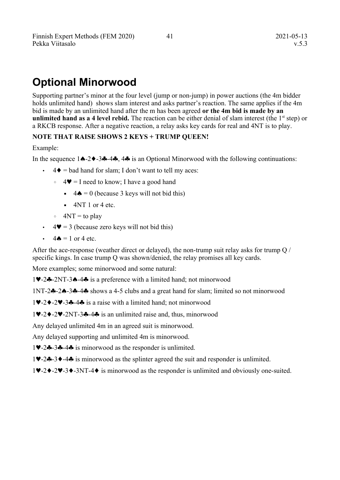# <span id="page-44-0"></span>**Optional Minorwood**

Supporting partner's minor at the four level (jump or non-jump) in power auctions (the 4m bidder holds unlimited hand) shows slam interest and asks partner's reaction. The same applies if the 4m bid is made by an unlimited hand after the m has been agreed **or the 4m bid is made by an unlimited hand as a 4 level rebid.** The reaction can be either denial of slam interest (the  $1<sup>st</sup>$  step) or a RKCB response. After a negative reaction, a relay asks key cards for real and 4NT is to play.

#### **NOTE THAT RAISE SHOWS 2 KEYS + TRUMP QUEEN!**

#### Example:

In the sequence  $1\spadesuit -2\spadesuit -3\clubsuit -4\clubsuit$ ,  $4\clubsuit$  is an Optional Minorwood with the following continuations:

- $\cdot$  4  $\bullet$  = bad hand for slam; I don't want to tell my aces:
	- $\circ$  4  $\blacktriangleright$  = I need to know; I have a good hand
		- $\bullet$  4  $\bullet$  = 0 (because 3 keys will not bid this)
		- $\blacksquare$  4NT 1 or 4 etc.
	- $\circ$  4NT = to play
- $\cdot$  4 $\blacktriangleright$  = 3 (because zero keys will not bid this)
- $\cdot$  4  $\bullet$  = 1 or 4 etc.

After the ace-response (weather direct or delayed), the non-trump suit relay asks for trump Q / specific kings. In case trump Q was shown/denied, the relay promises all key cards.

More examples; some minorwood and some natural:

1-2-2NT-3-4 is a preference with a limited hand; not minorwood

 $1NT-2-2-3-3-4$  shows a 4-5 clubs and a great hand for slam; limited so not minorwood

 $1\blacktriangleright 2\blacktriangleright -2\blacktriangleright -3\clubsuit -4\clubsuit$  is a raise with a limited hand; not minorwood

 $1\blacktriangleright 2\blacktriangleright -2\blacktriangleright 2N$ T-3 $\blacklozenge$ -4 $\clubsuit$  is an unlimited raise and, thus, minorwood

Any delayed unlimited 4m in an agreed suit is minorwood.

Any delayed supporting and unlimited 4m is minorwood.

10-2-3-4-4 is minorwood as the responder is unlimited.

 $1\blacktriangleright -2\clubsuit -3\blacktriangleright -4\clubsuit$  is minorwood as the splinter agreed the suit and responder is unlimited.

 $1\blacktriangledown -2\blacktriangledown -3\blacktriangledown -3N$ T-4 $\blacktriangledown$  is minorwood as the responder is unlimited and obviously one-suited.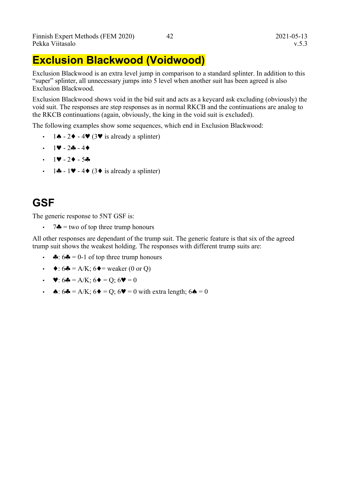### <span id="page-45-0"></span>**Exclusion Blackwood (Voidwood)**

Exclusion Blackwood is an extra level jump in comparison to a standard splinter. In addition to this "super" splinter, all unnecessary jumps into 5 level when another suit has been agreed is also Exclusion Blackwood.

Exclusion Blackwood shows void in the bid suit and acts as a keycard ask excluding (obviously) the void suit. The responses are step responses as in normal RKCB and the continuations are analog to the RKCB continuations (again, obviously, the king in the void suit is excluded).

The following examples show some sequences, which end in Exclusion Blackwood:

- $1 \spadesuit 2 \spadesuit 4 \pmb{\vee} (3 \pmb{\vee}$  is already a splinter)
- $\cdot$  1  $\vee$  2.2 4
- $\cdot$  1  $-$  2  $-$  5 $\bullet$
- 1 $\clubsuit$  1 $\blacktriangleright$  4 $\blacklozenge$  (3 $\blacklozenge$  is already a splinter)

## **GSF**

The generic response to 5NT GSF is:

 $7 \clubsuit =$  two of top three trump honours

All other responses are dependant of the trump suit. The generic feature is that six of the agreed trump suit shows the weakest holding. The responses with different trump suits are:

- $\clubsuit$ : 6 $\clubsuit$  = 0-1 of top three trump honours
- $\blacklozenge$ : 6 $\blacklozenge$  = A/K; 6 $\blacklozenge$  = weaker (0 or Q)
- $\blacktriangleright$   $\blacktriangleright$   $6\clubsuit$  = A/K;  $6\blacklozenge$  = O;  $6\blacktriangleright$  = 0
- $\triangle$ : 6 $\triangle$  = A/K; 6 $\triangle$  = O; 6 $\triangledown$  = 0 with extra length; 6 $\triangle$  = 0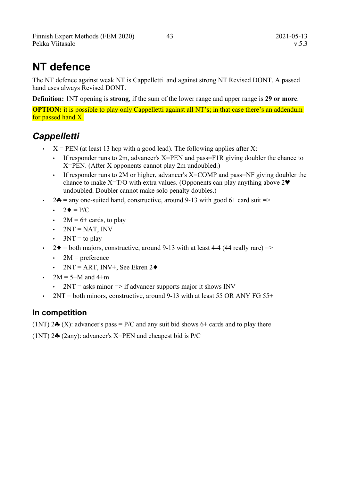# **NT defence**

The NT defence against weak NT is Cappelletti and against strong NT Revised DONT. A passed hand uses always Revised DONT.

**Definition:** 1NT opening is **strong**, if the sum of the lower range and upper range is **29 or more**.

**OPTION:** it is possible to play only Cappelletti against all NT's; in that case there's an addendum for passed hand X.

### *Cappelletti*

- $\cdot$   $X = PEN$  (at least 13 hcp with a good lead). The following applies after X:
	- If responder runs to 2m, advancer's  $X = PEN$  and pass  $FIR$  giving doubler the chance to X=PEN. (After X opponents cannot play 2m undoubled.)
	- If responder runs to 2M or higher, advancer's  $X=COMP$  and pass=NF giving doubler the chance to make  $X=T/O$  with extra values. (Opponents can play anything above  $2\Psi$ undoubled. Doubler cannot make solo penalty doubles.)
- $2\clubsuit$  = any one-suited hand, constructive, around 9-13 with good 6+ card suit =>
	- $\bullet$  2 = P/C
	- $2M = 6+$  cards, to play
	- $2NT = NAT$ , INV
	- $3NT =$  to play
- $2\blacklozenge$  = both majors, constructive, around 9-13 with at least 4-4 (44 really rare) =>
	- $2M =$  preference
	- 2NT = ART, INV+, See Ekren 2 $\triangleleft$
- $2M = 5 + M$  and  $4+m$ 
	- $2NT =$  asks minor  $\Rightarrow$  if advancer supports major it shows INV
- 2NT = both minors, constructive, around 9-13 with at least 55 OR ANY FG 55+

#### **In competition**

 $(1NT)$  2 $\bullet$  (X): advancer's pass = P/C and any suit bid shows 6+ cards and to play there

(1NT)  $2\clubsuit$  (2any): advancer's X=PEN and cheapest bid is P/C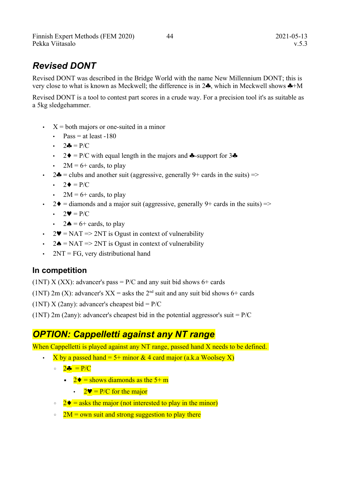### *Revised DONT*

Revised DONT was described in the Bridge World with the name New Millennium DONT; this is very close to what is known as Meckwell; the difference is in  $2\clubsuit$ , which in Meckwell shows  $\clubsuit +M$ 

Revised DONT is a tool to contest part scores in a crude way. For a precision tool it's as suitable as a 5kg sledgehammer.

- $\cdot$   $X =$  both majors or one-suited in a minor
	- $Pass = at least -180$
	- $2\clubsuit = P/C$
	- $2\blacklozenge = P/C$  with equal length in the majors and  $\blacklozenge$ -support for  $3\blacklozenge$
	- $2M = 6 +$  cards, to play
- 2 $\bullet$  = clubs and another suit (aggressive, generally 9+ cards in the suits) =>
	- $\cdot$  2  $\bullet$  = P/C
	- $2M = 6 +$  cards, to play
- 2 $\blacklozenge$  = diamonds and a major suit (aggressive, generally 9+ cards in the suits) =>
	- $\cdot$  2 $\mathbf{v} = P/C$
	- $2\spadesuit = 6 + \text{cards},$  to play
- 2 $\blacktriangleright$  = NAT => 2NT is Ogust in context of vulnerability
- 2 $\triangle$  = NAT => 2NT is Ogust in context of vulnerability
- $2NT = FG$ , very distributional hand

#### **In competition**

(1NT) X (XX): advancer's pass =  $P/C$  and any suit bid shows 6+ cards

(1NT) 2m (X): advancer's  $XX =$  asks the 2<sup>nd</sup> suit and any suit bid shows 6+ cards

(1NT) X (2any): advancer's cheapest bid =  $P/C$ 

(1NT) 2m (2any): advancer's cheapest bid in the potential aggressor's suit =  $P/C$ 

#### *OPTION: Cappelletti against any NT range*

When Cappelletti is played against any NT range, passed hand X needs to be defined.

- X by a passed hand = 5+ minor & 4 card major (a.k.a Woolsey X)
	- $\circ$   $2 \cdot \frac{1}{2} = P/C$ 
		- **•**  $2\blacklozenge$  = shows diamonds as the 5+ m
			- $2\Psi = P/C$  for the major
	- $2\blacklozenge$  = asks the major (not interested to play in the minor)
	- $2M =$  own suit and strong suggestion to play there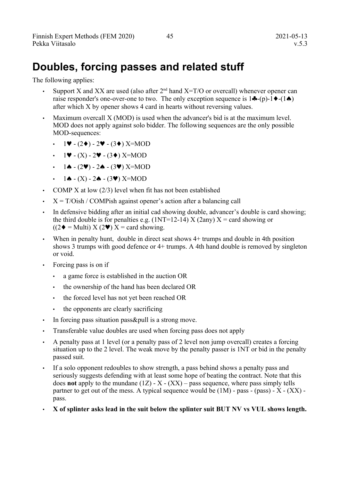# **Doubles, forcing passes and related stuff**

The following applies:

- Support X and XX are used (also after  $2<sup>nd</sup>$  hand X=T/O or overcall) whenever opener can raise responder's one-over-one to two. The only exception sequence is  $1\clubsuit$ -(p)- $1\blacklozenge$ -(1 $\spadesuit$ ) after which X by opener shows 4 card in hearts without reversing values.
- Maximum overcall X (MOD) is used when the advancer's bid is at the maximum level. MOD does not apply against solo bidder. The following sequences are the only possible MOD-sequences:
	- $1 \blacktriangleright$  (2 $\blacktriangleright$ ) 2 $\blacktriangleright$  (3 $\blacktriangleright$ ) X=MOD
	- $1\blacktriangledown (X) 2\blacktriangledown (3\blacklozenge)$  X=MOD
	- $1 \spadesuit (2 \blacktriangledown) 2 \spadesuit (3 \blacktriangledown)$  X=MOD
	- $\cdot$  1  $\bullet$  (X) 2 $\bullet$  (3 $\bullet$ ) X=MOD
- COMP X at low (2/3) level when fit has not been established
- $X = T/Oish / COMPish against operator's action after a balancing call$
- In defensive bidding after an initial cad showing double, advancer's double is card showing; the third double is for penalties e.g.  $(1NT=12-14) X (2any) X = \text{card showing or}$  $((2\bullet = \text{Multi}) \times (2\bullet) \times = \text{card showing.}$
- When in penalty hunt, double in direct seat shows 4+ trumps and double in 4th position shows 3 trumps with good defence or 4+ trumps. A 4th hand double is removed by singleton or void.
- Forcing pass is on if
	- a game force is established in the auction OR
	- the ownership of the hand has been declared OR
	- the forced level has not yet been reached OR
	- the opponents are clearly sacrificing
- In forcing pass situation pass&pull is a strong move.
- Transferable value doubles are used when forcing pass does not apply
- A penalty pass at 1 level (or a penalty pass of 2 level non jump overcall) creates a forcing situation up to the 2 level. The weak move by the penalty passer is 1NT or bid in the penalty passed suit.
- If a solo opponent redoubles to show strength, a pass behind shows a penalty pass and seriously suggests defending with at least some hope of beating the contract. Note that this does **not** apply to the mundane  $(1Z) - X - (XX)$  – pass sequence, where pass simply tells partner to get out of the mess. A typical sequence would be  $(1M)$  - pass - (pass) - X -  $(XX)$  pass.
- **X of splinter asks lead in the suit below the splinter suit BUT NV vs VUL shows length.**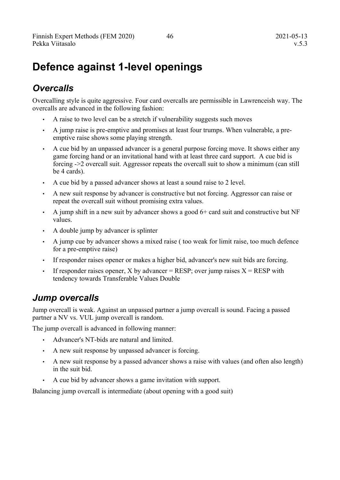# **Defence against 1-level openings**

### *Overcalls*

Overcalling style is quite aggressive. Four card overcalls are permissible in Lawrenceish way. The overcalls are advanced in the following fashion:

- A raise to two level can be a stretch if vulnerability suggests such moves
- A jump raise is pre-emptive and promises at least four trumps. When vulnerable, a preemptive raise shows some playing strength.
- A cue bid by an unpassed advancer is a general purpose forcing move. It shows either any game forcing hand or an invitational hand with at least three card support. A cue bid is forcing ->2 overcall suit. Aggressor repeats the overcall suit to show a minimum (can still be 4 cards).
- A cue bid by a passed advancer shows at least a sound raise to 2 level.
- A new suit response by advancer is constructive but not forcing. Aggressor can raise or repeat the overcall suit without promising extra values.
- $\cdot$  A jump shift in a new suit by advancer shows a good 6+ card suit and constructive but NF values.
- A double jump by advancer is splinter
- A jump cue by advancer shows a mixed raise ( too weak for limit raise, too much defence for a pre-emptive raise)
- If responder raises opener or makes a higher bid, advancer's new suit bids are forcing.
- If responder raises opener, X by advancer = RESP; over jump raises  $X =$  RESP with tendency towards Transferable Values Double

#### *Jump overcalls*

Jump overcall is weak. Against an unpassed partner a jump overcall is sound. Facing a passed partner a NV vs. VUL jump overcall is random.

The jump overcall is advanced in following manner:

- Advancer's NT-bids are natural and limited.
- A new suit response by unpassed advancer is forcing.
- A new suit response by a passed advancer shows a raise with values (and often also length) in the suit bid.
- A cue bid by advancer shows a game invitation with support.

Balancing jump overcall is intermediate (about opening with a good suit)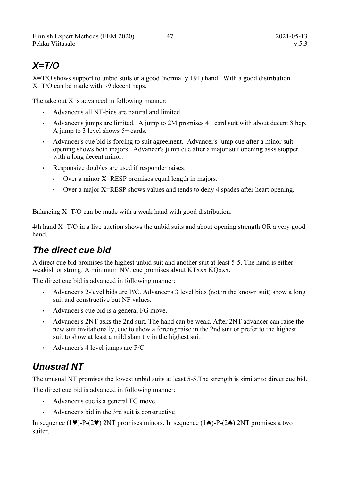### *X=T/O*

 $X=T/O$  shows support to unbid suits or a good (normally 19+) hand. With a good distribution  $X=T/O$  can be made with  $\sim$ 9 decent hcps.

The take out X is advanced in following manner:

- Advancer's all NT-bids are natural and limited.
- Advancer's jumps are limited. A jump to 2M promises 4+ card suit with about decent 8 hcp. A jump to 3 level shows 5+ cards.
- Advancer's cue bid is forcing to suit agreement. Advancer's jump cue after a minor suit opening shows both majors. Advancer's jump cue after a major suit opening asks stopper with a long decent minor.
- Responsive doubles are used if responder raises:
	- Over a minor X=RESP promises equal length in majors.
	- Over a major X=RESP shows values and tends to deny 4 spades after heart opening.

Balancing X=T/O can be made with a weak hand with good distribution.

4th hand X=T/O in a live auction shows the unbid suits and about opening strength OR a very good hand.

#### *The direct cue bid*

A direct cue bid promises the highest unbid suit and another suit at least 5-5. The hand is either weakish or strong. A minimum NV. cue promises about KTxxx KQxxx.

The direct cue bid is advanced in following manner:

- Advancer's 2-level bids are P/C. Advancer's 3 level bids (not in the known suit) show a long suit and constructive but NF values.
- Advancer's cue bid is a general FG move.
- Advancer's 2NT asks the 2nd suit. The hand can be weak. After 2NT advancer can raise the new suit invitationally, cue to show a forcing raise in the 2nd suit or prefer to the highest suit to show at least a mild slam try in the highest suit.
- Advancer's 4 level jumps are  $P/C$

### *Unusual NT*

The unusual NT promises the lowest unbid suits at least 5-5.The strength is similar to direct cue bid. The direct cue bid is advanced in following manner:

- Advancer's cue is a general FG move.
- Advancer's bid in the 3rd suit is constructive

In sequence (1 $\blacktriangledown$ )-P-(2 $\blacktriangledown$ ) 2NT promises minors. In sequence (1 $\blacktriangle$ )-P-(2 $\blacktriangle$ ) 2NT promises a two suiter.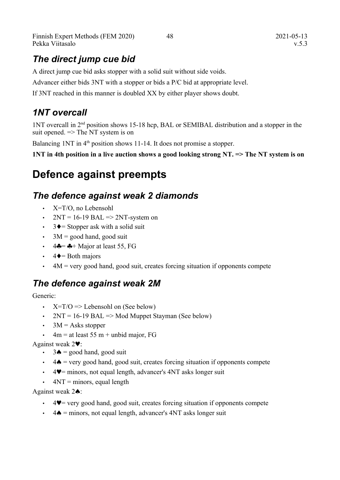Finnish Expert Methods (FEM 2020) 48 2021-05-13 Pekka Viitasalo v.5.3

### *The direct jump cue bid*

A direct jump cue bid asks stopper with a solid suit without side voids.

Advancer either bids 3NT with a stopper or bids a P/C bid at appropriate level.

If 3NT reached in this manner is doubled XX by either player shows doubt.

### *1NT overcall*

1NT overcall in 2nd position shows 15-18 hcp, BAL or SEMIBAL distribution and a stopper in the suit opened.  $\Rightarrow$  The NT system is on

Balancing  $1NT$  in  $4<sup>th</sup>$  position shows 11-14. It does not promise a stopper.

**1NT in 4th position in a live auction shows a good looking strong NT. => The NT system is on**

# **Defence against preempts**

#### *The defence against weak 2 diamonds*

- X=T/O, no Lebensohl
- $2NT = 16-19$  BAL  $\Rightarrow$  2NT-system on
- $3 \rightarrow$  Stopper ask with a solid suit
- $\cdot$  3M = good hand, good suit
- $\cdot$  4 $\clubsuit$  =  $\clubsuit$  + Major at least 55, FG
- $\cdot$  4  $\bullet$  = Both majors
- $\cdot$  4M = very good hand, good suit, creates forcing situation if opponents compete

### *The defence against weak 2M*

Generic:

- $X=T/O \Rightarrow$  Lebensohl on (See below)
- $2NT = 16-19$  BAL  $\Rightarrow$  Mod Muppet Stayman (See below)
- $3M =$  Asks stopper
- $\cdot$  4m = at least 55 m + unbid major, FG

Against weak  $2\blacktriangledown$ :

- $\cdot$  3 $\bullet$  = good hand, good suit
- $\cdot$  4 $\triangle$  = very good hand, good suit, creates forcing situation if opponents compete
- $\cdot$  4.  $4\blacktriangleright$  = minors, not equal length, advancer's 4NT asks longer suit
- $\cdot$  4NT = minors, equal length

Against weak  $2\spadesuit$ :

- $\cdot$  4 $\blacktriangledown$  = very good hand, good suit, creates forcing situation if opponents compete
- $\cdot$  4  $\triangle$  = minors, not equal length, advancer's 4NT asks longer suit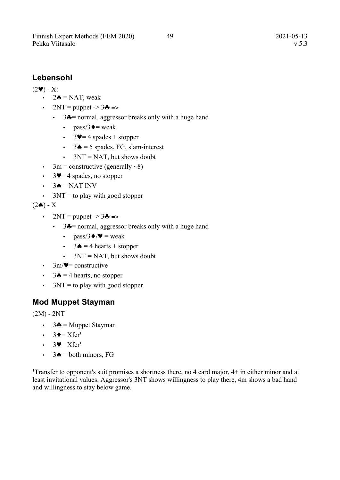#### **Lebensohl**

 $(2\blacktriangledown) - X$ :

- $\cdot$  2 $\bullet$  = NAT, weak
- $2NT =$  puppet  $-$  3 $\clubsuit$  =>
	- $\cdot$  3 $\bullet$  = normal, aggressor breaks only with a huge hand
		- pass/3 $\triangleleft$  = weak
		- $3\Psi = 4$  spades + stopper
		- $3\spadesuit = 5$  spades, FG, slam-interest
		- $3NT = NAT$ , but shows doubt
- 3m = constructive (generally  $\sim 8$ )
- $3\Psi = 4$  spades, no stopper
- $\cdot$  3 $\bullet$  = NAT INV
- $3NT =$  to play with good stopper
- $(2\spadesuit)$  X
	- $2NT = puppet -3$   $\clubsuit$  =>
		- $3 \clubsuit$  = normal, aggressor breaks only with a huge hand
			- pass/3 $\blacklozenge/\blacktriangledown$  = weak
			- $3\spadesuit = 4$  hearts + stopper
			- $3NT = NAT$ , but shows doubt
	- $3m/\nabla$ = constructive
	- $3\spadesuit = 4$  hearts, no stopper
	- $\cdot$  3NT = to play with good stopper

#### **Mod Muppet Stayman**

 $(2M) - 2NT$ 

- $3\clubsuit$  = Muppet Stayman
- $\cdot$  3 $\bullet = X$ fer<sup>1</sup>
- $3\blacktriangledown = X$ fer<sup>1</sup>
- $\cdot$  3 $\bullet$  = both minors, FG

<sup>1</sup>Transfer to opponent's suit promises a shortness there, no 4 card major,  $4+$  in either minor and at least invitational values. Aggressor's 3NT shows willingness to play there, 4m shows a bad hand and willingness to stay below game.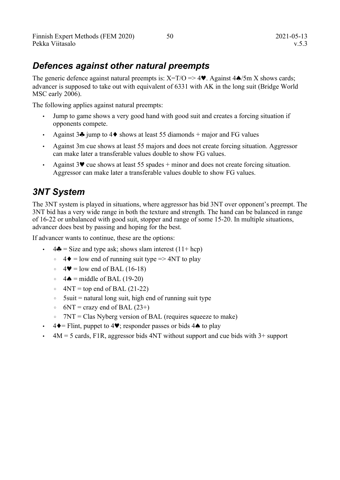### *Defences against other natural preempts*

The generic defence against natural preempts is:  $X=T/O \implies 4\blacktriangledown$ . Against  $4\blacktriangle/5m X$  shows cards; advancer is supposed to take out with equivalent of 6331 with AK in the long suit (Bridge World MSC early 2006).

The following applies against natural preempts:

- Jump to game shows a very good hand with good suit and creates a forcing situation if opponents compete.
- Against  $3\clubsuit$  jump to  $4\spadesuit$  shows at least 55 diamonds + major and FG values
- Against 3m cue shows at least 55 majors and does not create forcing situation. Aggressor can make later a transferable values double to show FG values.
- Against  $3\blacktriangledown$  cue shows at least  $55$  spades + minor and does not create forcing situation. Aggressor can make later a transferable values double to show FG values.

### *3NT System*

The 3NT system is played in situations, where aggressor has bid 3NT over opponent's preempt. The 3NT bid has a very wide range in both the texture and strength. The hand can be balanced in range of 16-22 or unbalanced with good suit, stopper and range of some 15-20. In multiple situations, advancer does best by passing and hoping for the best.

If advancer wants to continue, these are the options:

- $\cdot$  4  $\bullet$  = Size and type ask; shows slam interest (11+ hcp)
	- $\circ$  4  $\bullet$  = low end of running suit type => 4NT to play
	- $\circ$  4 $\blacktriangleright$  = low end of BAL (16-18)
	- $\circ$  4  $\bullet$  = middle of BAL (19-20)
	- $\circ$  4NT = top end of BAL (21-22)
	- $\circ$  5suit = natural long suit, high end of running suit type
	- $\circ$  6NT = crazy end of BAL (23+)
	- 7NT = Clas Nyberg version of BAL (requires squeeze to make)
- $4\blacklozenge =$  Flint, puppet to  $4\blacktriangledown$ ; responder passes or bids  $4\blacklozenge$  to play
- $4M = 5$  cards, F1R, aggressor bids 4NT without support and cue bids with  $3+$  support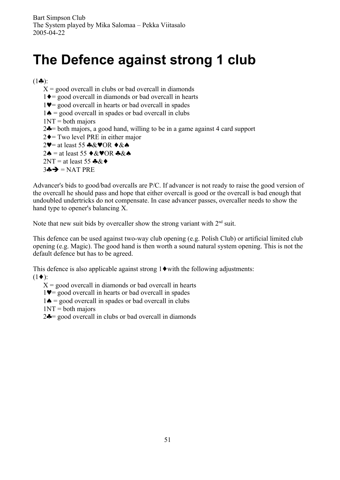# **The Defence against strong 1 club**

 $(1 - \cdot)$ :

 $X =$  good overcall in clubs or bad overcall in diamonds  $1\blacklozenge$  = good overcall in diamonds or bad overcall in hearts  $1\blacktriangledown$  good overcall in hearts or bad overcall in spades  $1 \triangle$  = good overcall in spades or bad overcall in clubs  $1NT = both \text{ majors}$  $2\clubsuit$ = both majors, a good hand, willing to be in a game against 4 card support  $2\blacklozenge$  Two level PRE in either major 2 $\blacktriangledown$  at least 55  $\clubsuit \& \blacktriangledown$ OR  $\blacktriangledown \& \spadesuit$  $2\spadesuit$  = at least 55  $\blacklozenge$  &  $\blacklozenge$  OR  $\clubsuit$  &  $\spadesuit$  $2NT = at least 55$   $\clubsuit \& \diamondsuit$  $3 \oplus \rightarrow$  = NAT PRE

Advancer's bids to good/bad overcalls are P/C. If advancer is not ready to raise the good version of the overcall he should pass and hope that either overcall is good or the overcall is bad enough that undoubled undertricks do not compensate. In case advancer passes, overcaller needs to show the hand type to opener's balancing X.

Note that new suit bids by overcaller show the strong variant with  $2<sup>nd</sup>$  suit.

This defence can be used against two-way club opening (e.g. Polish Club) or artificial limited club opening (e.g. Magic). The good hand is then worth a sound natural system opening. This is not the default defence but has to be agreed.

This defence is also applicable against strong  $1\blacklozenge$  with the following adjustments:  $(1\blacklozenge)$ :

 $X =$  good overcall in diamonds or bad overcall in hearts

 $1\blacktriangledown$  good overcall in hearts or bad overcall in spades

 $1 \spadesuit =$  good overcall in spades or bad overcall in clubs

 $1NT = both \text{ majors}$ 

 $2\clubsuit$  good overcall in clubs or bad overcall in diamonds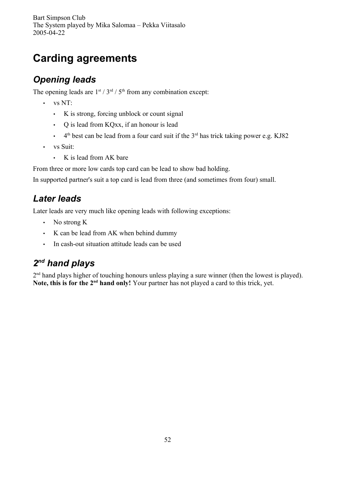Bart Simpson Club The System played by Mika Salomaa – Pekka Viitasalo 2005-04-22

# **Carding agreements**

### *Opening leads*

The opening leads are  $1^{st}$  /  $3^{rd}$  /  $5^{th}$  from any combination except:

- vs NT:
	- K is strong, forcing unblock or count signal
	- Q is lead from KQxx, if an honour is lead
	- $\cdot$  4<sup>th</sup> best can be lead from a four card suit if the 3<sup>rd</sup> has trick taking power e.g. KJ82
- vs Suit:
	- K is lead from AK bare

From three or more low cards top card can be lead to show bad holding.

In supported partner's suit a top card is lead from three (and sometimes from four) small.

### *Later leads*

Later leads are very much like opening leads with following exceptions:

- No strong K
- K can be lead from AK when behind dummy
- In cash-out situation attitude leads can be used

### *2 nd hand plays*

2<sup>nd</sup> hand plays higher of touching honours unless playing a sure winner (then the lowest is played). **Note, this is for the 2nd hand only!** Your partner has not played a card to this trick, yet.